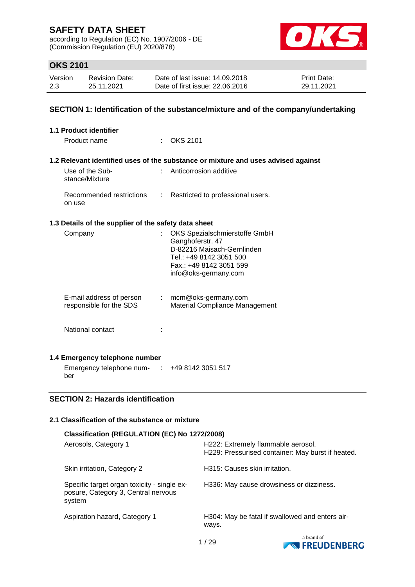according to Regulation (EC) No. 1907/2006 - DE (Commission Regulation (EU) 2020/878)



## **OKS 2101**

| Version | <b>Revision Date:</b> | Date of last issue: 14.09.2018  | <b>Print Date:</b> |
|---------|-----------------------|---------------------------------|--------------------|
| 2.3     | 25.11.2021            | Date of first issue: 22.06.2016 | 29.11.2021         |

#### **SECTION 1: Identification of the substance/mixture and of the company/undertaking**

| 1.1 Product identifier                               |                                                                                                                                                               |
|------------------------------------------------------|---------------------------------------------------------------------------------------------------------------------------------------------------------------|
| Product name                                         | $\therefore$ OKS 2101                                                                                                                                         |
|                                                      | 1.2 Relevant identified uses of the substance or mixture and uses advised against                                                                             |
| Use of the Sub-<br>stance/Mixture                    | : Anticorrosion additive                                                                                                                                      |
| on use                                               | Recommended restrictions : Restricted to professional users.                                                                                                  |
| 1.3 Details of the supplier of the safety data sheet |                                                                                                                                                               |
| Company                                              | OKS Spezialschmierstoffe GmbH<br>Ganghoferstr. 47<br>D-82216 Maisach-Gernlinden<br>Tel.: +49 8142 3051 500<br>Fax.: +49 8142 3051 599<br>info@oks-germany.com |
| E-mail address of person<br>responsible for the SDS  | $:$ mcm@oks-germany.com<br>Material Compliance Management                                                                                                     |
| National contact                                     |                                                                                                                                                               |
| 1.4 Emergency telephone number                       |                                                                                                                                                               |
| Emergency telephone num- : +49 8142 3051 517         |                                                                                                                                                               |

#### **SECTION 2: Hazards identification**

ber

#### **2.1 Classification of the substance or mixture**

| Classification (REGULATION (EC) No 1272/2008)                                                |                                                                                         |  |  |  |  |  |
|----------------------------------------------------------------------------------------------|-----------------------------------------------------------------------------------------|--|--|--|--|--|
| Aerosols, Category 1                                                                         | H222: Extremely flammable aerosol.<br>H229: Pressurised container: May burst if heated. |  |  |  |  |  |
| Skin irritation, Category 2                                                                  | H315: Causes skin irritation.                                                           |  |  |  |  |  |
| Specific target organ toxicity - single ex-<br>posure, Category 3, Central nervous<br>system | H336: May cause drowsiness or dizziness.                                                |  |  |  |  |  |
| Aspiration hazard, Category 1                                                                | H304: May be fatal if swallowed and enters air-<br>ways.                                |  |  |  |  |  |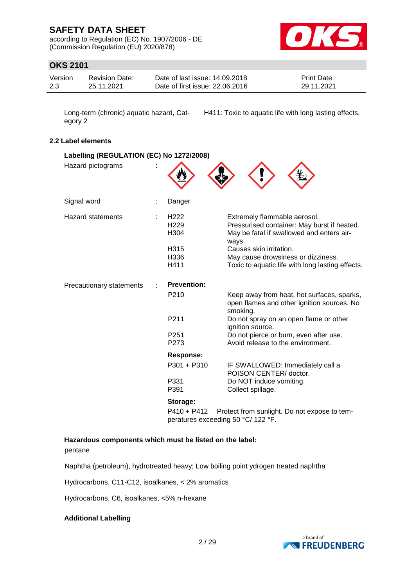according to Regulation (EC) No. 1907/2006 - DE (Commission Regulation (EU) 2020/878)



## **OKS 2101**

| Version | <b>Revision Date:</b> | Date of last issue: 14.09.2018  | <b>Print Date:</b> |
|---------|-----------------------|---------------------------------|--------------------|
| 2.3     | 25.11.2021            | Date of first issue: 22,06,2016 | 29.11.2021         |

Long-term (chronic) aquatic hazard, Category 2

H411: Toxic to aquatic life with long lasting effects.

#### **2.2 Label elements**

| Labelling (REGULATION (EC) No 1272/2008) |  |                                              |                                                                                                                                   |
|------------------------------------------|--|----------------------------------------------|-----------------------------------------------------------------------------------------------------------------------------------|
| Hazard pictograms                        |  |                                              |                                                                                                                                   |
| Signal word                              |  | Danger                                       |                                                                                                                                   |
| <b>Hazard statements</b>                 |  | H <sub>222</sub><br>H <sub>229</sub><br>H304 | Extremely flammable aerosol.<br>Pressurised container: May burst if heated.<br>May be fatal if swallowed and enters air-<br>ways. |
|                                          |  | H315                                         | Causes skin irritation.                                                                                                           |
|                                          |  | H336                                         | May cause drowsiness or dizziness.                                                                                                |
|                                          |  | H411                                         | Toxic to aquatic life with long lasting effects.                                                                                  |
| Precautionary statements                 |  | <b>Prevention:</b>                           |                                                                                                                                   |
|                                          |  | P <sub>210</sub>                             | Keep away from heat, hot surfaces, sparks,<br>open flames and other ignition sources. No<br>smoking.                              |
|                                          |  | P211                                         | Do not spray on an open flame or other<br>ignition source.                                                                        |
|                                          |  | P <sub>251</sub>                             | Do not pierce or burn, even after use.                                                                                            |
|                                          |  | P273                                         | Avoid release to the environment.                                                                                                 |
|                                          |  | <b>Response:</b>                             |                                                                                                                                   |
|                                          |  | $P301 + P310$                                | IF SWALLOWED: Immediately call a<br>POISON CENTER/ doctor.                                                                        |
|                                          |  | P331<br>P391                                 | Do NOT induce vomiting.<br>Collect spillage.                                                                                      |
|                                          |  | Storage:                                     |                                                                                                                                   |
|                                          |  | $PA10 + PA12$                                | Protect from sunlight. Do not expose to tem-                                                                                      |

P410 + P412 Protect from sunlight. Do not expose to temperatures exceeding 50 °C/ 122 °F.

#### **Hazardous components which must be listed on the label:**

pentane

Naphtha (petroleum), hydrotreated heavy; Low boiling point ydrogen treated naphtha

Hydrocarbons, C11-C12, isoalkanes, < 2% aromatics

Hydrocarbons, C6, isoalkanes, <5% n-hexane

#### **Additional Labelling**

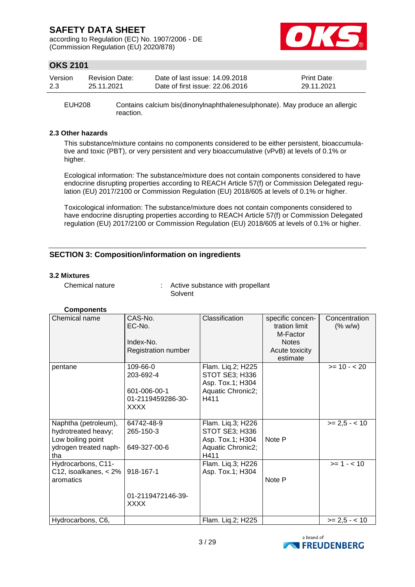according to Regulation (EC) No. 1907/2006 - DE (Commission Regulation (EU) 2020/878)



## **OKS 2101**

| Version | Revision Date: | Date of last issue: 14.09.2018  | <b>Print Date:</b> |
|---------|----------------|---------------------------------|--------------------|
| 2.3     | 25.11.2021     | Date of first issue: 22,06,2016 | 29.11.2021         |

EUH208 Contains calcium bis(dinonylnaphthalenesulphonate). May produce an allergic reaction.

#### **2.3 Other hazards**

This substance/mixture contains no components considered to be either persistent, bioaccumulative and toxic (PBT), or very persistent and very bioaccumulative (vPvB) at levels of 0.1% or higher.

Ecological information: The substance/mixture does not contain components considered to have endocrine disrupting properties according to REACH Article 57(f) or Commission Delegated regulation (EU) 2017/2100 or Commission Regulation (EU) 2018/605 at levels of 0.1% or higher.

Toxicological information: The substance/mixture does not contain components considered to have endocrine disrupting properties according to REACH Article 57(f) or Commission Delegated regulation (EU) 2017/2100 or Commission Regulation (EU) 2018/605 at levels of 0.1% or higher.

#### **SECTION 3: Composition/information on ingredients**

#### **3.2 Mixtures**

Chemical nature : Active substance with propellant Solvent

| Chemical name           | CAS-No.             | Classification        | specific concen- | Concentration   |
|-------------------------|---------------------|-----------------------|------------------|-----------------|
|                         | EC-No.              |                       | tration limit    | (% w/w)         |
|                         |                     |                       | M-Factor         |                 |
|                         | Index-No.           |                       | <b>Notes</b>     |                 |
|                         | Registration number |                       | Acute toxicity   |                 |
|                         |                     |                       | estimate         |                 |
| pentane                 | 109-66-0            | Flam. Lig.2; H225     |                  | $>= 10 - 20$    |
|                         | 203-692-4           | <b>STOT SE3; H336</b> |                  |                 |
|                         |                     | Asp. Tox.1; H304      |                  |                 |
|                         | 601-006-00-1        | Aquatic Chronic2;     |                  |                 |
|                         | 01-2119459286-30-   | H411                  |                  |                 |
|                         | XXXX                |                       |                  |                 |
|                         |                     |                       |                  |                 |
| Naphtha (petroleum),    | 64742-48-9          | Flam. Liq.3; H226     |                  | $>= 2.5 - < 10$ |
| hydrotreated heavy;     | 265-150-3           | <b>STOT SE3; H336</b> |                  |                 |
| Low boiling point       |                     | Asp. Tox.1; H304      | Note P           |                 |
| ydrogen treated naph-   | 649-327-00-6        | Aquatic Chronic2;     |                  |                 |
| tha                     |                     | H411                  |                  |                 |
| Hydrocarbons, C11-      |                     | Flam. Liq.3; H226     |                  | $>= 1 - 10$     |
| C12, isoalkanes, $<$ 2% | 918-167-1           | Asp. Tox.1; H304      |                  |                 |
| aromatics               |                     |                       | Note P           |                 |
|                         |                     |                       |                  |                 |
|                         | 01-2119472146-39-   |                       |                  |                 |
|                         | XXXX                |                       |                  |                 |
|                         |                     |                       |                  |                 |
| Hydrocarbons, C6,       |                     | Flam. Liq.2; H225     |                  | $>= 2.5 - < 10$ |

#### **Components**

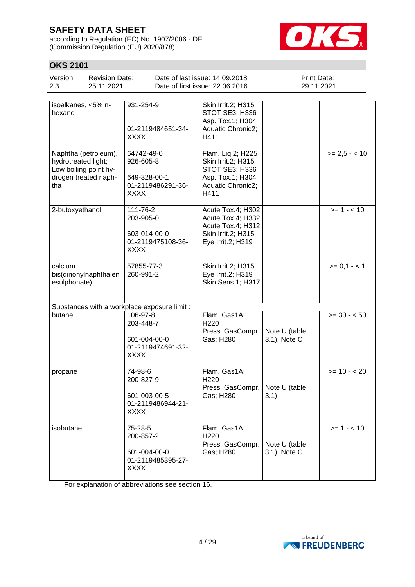according to Regulation (EC) No. 1907/2006 - DE (Commission Regulation (EU) 2020/878)



## **OKS 2101**

| Version<br><b>Revision Date:</b><br>25.11.2021<br>2.3                                               |                                                                             | Date of last issue: 14.09.2018<br>Date of first issue: 22.06.2016                                          | Print Date:<br>29.11.2021     |               |
|-----------------------------------------------------------------------------------------------------|-----------------------------------------------------------------------------|------------------------------------------------------------------------------------------------------------|-------------------------------|---------------|
| isoalkanes, <5% n-<br>hexane                                                                        | 931-254-9<br>01-2119484651-34-<br>XXXX                                      | Skin Irrit.2; H315<br>STOT SE3; H336<br>Asp. Tox.1; H304<br>Aquatic Chronic2;<br>H411                      |                               |               |
| Naphtha (petroleum),<br>hydrotreated light;<br>Low boiling point hy-<br>drogen treated naph-<br>tha | 64742-49-0<br>926-605-8<br>649-328-00-1<br>01-2119486291-36-<br><b>XXXX</b> | Flam. Liq.2; H225<br>Skin Irrit.2; H315<br>STOT SE3; H336<br>Asp. Tox.1; H304<br>Aquatic Chronic2;<br>H411 |                               | $>= 2.5 - 10$ |
| 2-butoxyethanol                                                                                     | 111-76-2<br>203-905-0<br>603-014-00-0<br>01-2119475108-36-<br><b>XXXX</b>   | Acute Tox.4; H302<br>Acute Tox.4; H332<br>Acute Tox.4; H312<br>Skin Irrit.2; H315<br>Eye Irrit.2; H319     |                               | $>= 1 - 10$   |
| calcium<br>bis(dinonylnaphthalen<br>esulphonate)                                                    | 57855-77-3<br>260-991-2                                                     | Skin Irrit.2; H315<br>Eye Irrit.2; H319<br>Skin Sens.1; H317                                               |                               | $>= 0,1 - 1$  |
| Substances with a workplace exposure limit :                                                        |                                                                             |                                                                                                            |                               |               |
| butane                                                                                              | 106-97-8<br>203-448-7<br>601-004-00-0<br>01-2119474691-32-<br><b>XXXX</b>   | Flam. Gas1A;<br>H <sub>220</sub><br>Press. GasCompr.<br>Gas; H280                                          | Note U (table<br>3.1), Note C | $>= 30 - 50$  |
| propane                                                                                             | 74-98-6<br>200-827-9<br>601-003-00-5<br>01-2119486944-21-<br>XXXX           | Flam. Gas1A;<br>H <sub>220</sub><br>Press. GasCompr.<br>Gas; H280                                          | Note U (table<br>3.1)         | $>= 10 - 20$  |
| isobutane                                                                                           | 75-28-5<br>200-857-2<br>601-004-00-0<br>01-2119485395-27-<br><b>XXXX</b>    | Flam. Gas1A;<br>H <sub>220</sub><br>Press. GasCompr.<br>Gas; H280                                          | Note U (table<br>3.1), Note C | $>= 1 - 10$   |

For explanation of abbreviations see section 16.

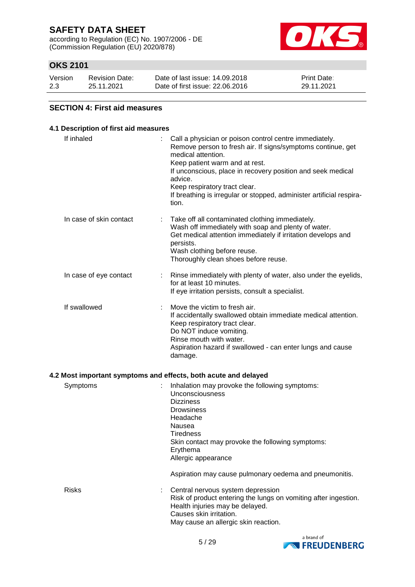according to Regulation (EC) No. 1907/2006 - DE (Commission Regulation (EU) 2020/878)



## **OKS 2101**

| Version | <b>Revision Date:</b> | Date of last issue: 14.09.2018  | <b>Print Date:</b> |
|---------|-----------------------|---------------------------------|--------------------|
| 2.3     | 25.11.2021            | Date of first issue: 22,06,2016 | 29.11.2021         |

#### **SECTION 4: First aid measures**

### **4.1 Description of first aid measures** If inhaled  $\blacksquare$  : Call a physician or poison control centre immediately. Remove person to fresh air. If signs/symptoms continue, get medical attention. Keep patient warm and at rest. If unconscious, place in recovery position and seek medical advice. Keep respiratory tract clear. If breathing is irregular or stopped, administer artificial respiration. In case of skin contact : Take off all contaminated clothing immediately. Wash off immediately with soap and plenty of water. Get medical attention immediately if irritation develops and persists. Wash clothing before reuse. Thoroughly clean shoes before reuse. In case of eye contact : Rinse immediately with plenty of water, also under the eyelids, for at least 10 minutes. If eye irritation persists, consult a specialist. If swallowed : Move the victim to fresh air. If accidentally swallowed obtain immediate medical attention. Keep respiratory tract clear. Do NOT induce vomiting. Rinse mouth with water. Aspiration hazard if swallowed - can enter lungs and cause damage. **4.2 Most important symptoms and effects, both acute and delayed** Symptoms : Inhalation may provoke the following symptoms: Unconsciousness **Dizziness Drowsiness** Headache Nausea **Tiredness** Skin contact may provoke the following symptoms: Erythema Allergic appearance Aspiration may cause pulmonary oedema and pneumonitis.

| <b>Risks</b> | : Central nervous system depression<br>Risk of product entering the lungs on vomiting after ingestion.<br>Health injuries may be delayed.<br>Causes skin irritation.<br>May cause an allergic skin reaction. |
|--------------|--------------------------------------------------------------------------------------------------------------------------------------------------------------------------------------------------------------|
|              |                                                                                                                                                                                                              |

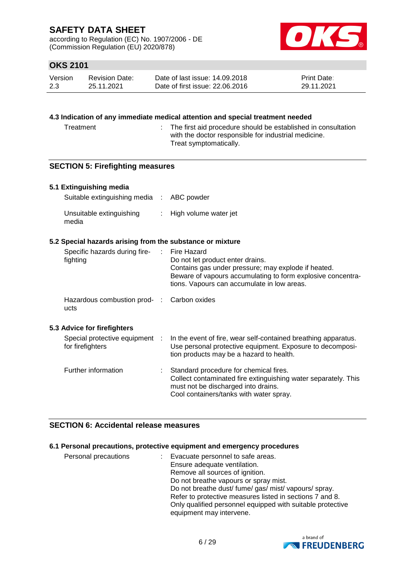according to Regulation (EC) No. 1907/2006 - DE (Commission Regulation (EU) 2020/878)



## **OKS 2101**

| Version | <b>Revision Date:</b> | Date of last issue: 14.09.2018  | <b>Print Date:</b> |
|---------|-----------------------|---------------------------------|--------------------|
| 2.3     | 25.11.2021            | Date of first issue: 22,06,2016 | 29.11.2021         |

#### **4.3 Indication of any immediate medical attention and special treatment needed**

Treatment : The first aid procedure should be established in consultation with the doctor responsible for industrial medicine. Treat symptomatically.

#### **SECTION 5: Firefighting measures**

#### **5.1 Extinguishing media**

| Suitable extinguishing media : ABC powder |                         |
|-------------------------------------------|-------------------------|
| Unsuitable extinguishing<br>media         | : High volume water jet |

#### **5.2 Special hazards arising from the substance or mixture**

| Specific hazards during fire-<br>fighting          | : Fire Hazard<br>Do not let product enter drains.<br>Contains gas under pressure; may explode if heated.<br>Beware of vapours accumulating to form explosive concentra-<br>tions. Vapours can accumulate in low areas. |
|----------------------------------------------------|------------------------------------------------------------------------------------------------------------------------------------------------------------------------------------------------------------------------|
| Hazardous combustion prod- : Carbon oxides<br>ucts |                                                                                                                                                                                                                        |
| <b>Advice for firefighters</b>                     | Special protective equipment . In the event of fire wear self-contained breathing apparatus                                                                                                                            |

# **5.3 Advice for firefighters**

| Special protective equipment :<br>for firefighters |    | In the event of fire, wear self-contained breathing apparatus.<br>Use personal protective equipment. Exposure to decomposi-<br>tion products may be a hazard to health.                    |
|----------------------------------------------------|----|--------------------------------------------------------------------------------------------------------------------------------------------------------------------------------------------|
| Further information                                | ÷. | Standard procedure for chemical fires.<br>Collect contaminated fire extinguishing water separately. This<br>must not be discharged into drains.<br>Cool containers/tanks with water spray. |

#### **SECTION 6: Accidental release measures**

#### **6.1 Personal precautions, protective equipment and emergency procedures**

| Personal precautions | Evacuate personnel to safe areas.                          |  |
|----------------------|------------------------------------------------------------|--|
|                      | Ensure adequate ventilation.                               |  |
|                      | Remove all sources of ignition.                            |  |
|                      | Do not breathe vapours or spray mist.                      |  |
|                      | Do not breathe dust/fume/gas/mist/vapours/spray.           |  |
|                      | Refer to protective measures listed in sections 7 and 8.   |  |
|                      | Only qualified personnel equipped with suitable protective |  |
|                      | equipment may intervene.                                   |  |

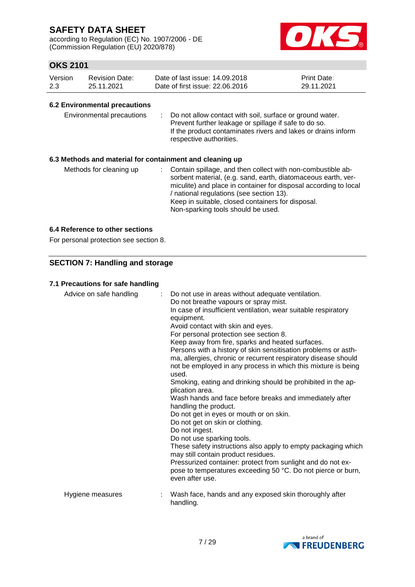according to Regulation (EC) No. 1907/2006 - DE (Commission Regulation (EU) 2020/878)



## **OKS 2101**

| Version | Revision Date: | Date of last issue: 14.09.2018  | <b>Print Date:</b> |
|---------|----------------|---------------------------------|--------------------|
| 2.3     | 25.11.2021     | Date of first issue: 22,06,2016 | 29.11.2021         |

#### **6.2 Environmental precautions**

| Environmental precautions |  | : Do not allow contact with soil, surface or ground water.<br>Prevent further leakage or spillage if safe to do so.<br>If the product contaminates rivers and lakes or drains inform<br>respective authorities. |
|---------------------------|--|-----------------------------------------------------------------------------------------------------------------------------------------------------------------------------------------------------------------|
|---------------------------|--|-----------------------------------------------------------------------------------------------------------------------------------------------------------------------------------------------------------------|

#### **6.3 Methods and material for containment and cleaning up**

| Methods for cleaning up |  | : Contain spillage, and then collect with non-combustible ab-<br>sorbent material, (e.g. sand, earth, diatomaceous earth, ver-<br>miculite) and place in container for disposal according to local<br>/ national regulations (see section 13).<br>Keep in suitable, closed containers for disposal.<br>Non-sparking tools should be used. |
|-------------------------|--|-------------------------------------------------------------------------------------------------------------------------------------------------------------------------------------------------------------------------------------------------------------------------------------------------------------------------------------------|
|-------------------------|--|-------------------------------------------------------------------------------------------------------------------------------------------------------------------------------------------------------------------------------------------------------------------------------------------------------------------------------------------|

#### **6.4 Reference to other sections**

For personal protection see section 8.

#### **SECTION 7: Handling and storage**

#### **7.1 Precautions for safe handling**

| Advice on safe handling | ÷. | Do not use in areas without adequate ventilation.<br>Do not breathe vapours or spray mist.<br>In case of insufficient ventilation, wear suitable respiratory<br>equipment.<br>Avoid contact with skin and eyes.<br>For personal protection see section 8.<br>Keep away from fire, sparks and heated surfaces.<br>Persons with a history of skin sensitisation problems or asth-<br>ma, allergies, chronic or recurrent respiratory disease should<br>not be employed in any process in which this mixture is being<br>used.<br>Smoking, eating and drinking should be prohibited in the ap-<br>plication area.<br>Wash hands and face before breaks and immediately after<br>handling the product.<br>Do not get in eyes or mouth or on skin.<br>Do not get on skin or clothing.<br>Do not ingest.<br>Do not use sparking tools.<br>These safety instructions also apply to empty packaging which<br>may still contain product residues.<br>Pressurized container: protect from sunlight and do not ex-<br>pose to temperatures exceeding 50 °C. Do not pierce or burn,<br>even after use. |
|-------------------------|----|--------------------------------------------------------------------------------------------------------------------------------------------------------------------------------------------------------------------------------------------------------------------------------------------------------------------------------------------------------------------------------------------------------------------------------------------------------------------------------------------------------------------------------------------------------------------------------------------------------------------------------------------------------------------------------------------------------------------------------------------------------------------------------------------------------------------------------------------------------------------------------------------------------------------------------------------------------------------------------------------------------------------------------------------------------------------------------------------|
| Hygiene measures        | t  | Wash face, hands and any exposed skin thoroughly after<br>handling.                                                                                                                                                                                                                                                                                                                                                                                                                                                                                                                                                                                                                                                                                                                                                                                                                                                                                                                                                                                                                        |
|                         |    |                                                                                                                                                                                                                                                                                                                                                                                                                                                                                                                                                                                                                                                                                                                                                                                                                                                                                                                                                                                                                                                                                            |

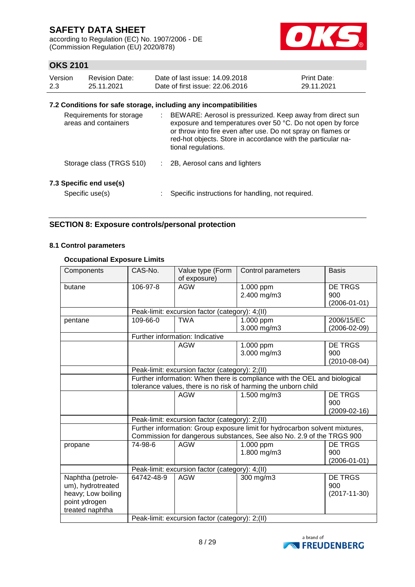according to Regulation (EC) No. 1907/2006 - DE (Commission Regulation (EU) 2020/878)



## **OKS 2101**

| Version | <b>Revision Date:</b> | Date of last issue: 14.09.2018  | <b>Print Date:</b> |
|---------|-----------------------|---------------------------------|--------------------|
| 2.3     | 25.11.2021            | Date of first issue: 22,06,2016 | 29.11.2021         |

#### **7.2 Conditions for safe storage, including any incompatibilities**

| Requirements for storage<br>areas and containers | ÷. | BEWARE: Aerosol is pressurized. Keep away from direct sun<br>exposure and temperatures over 50 °C. Do not open by force<br>or throw into fire even after use. Do not spray on flames or<br>red-hot objects. Store in accordance with the particular na-<br>tional regulations. |
|--------------------------------------------------|----|--------------------------------------------------------------------------------------------------------------------------------------------------------------------------------------------------------------------------------------------------------------------------------|
| Storage class (TRGS 510)                         |    | 2B, Aerosol cans and lighters                                                                                                                                                                                                                                                  |
| 7.3 Specific end use(s)<br>Specific use(s)       |    | Specific instructions for handling, not required.                                                                                                                                                                                                                              |

#### **SECTION 8: Exposure controls/personal protection**

#### **8.1 Control parameters**

#### **Occupational Exposure Limits**

| Components                                                                                       | CAS-No.                                                                                                                                     | Value type (Form<br>of exposure)                | Control parameters                                                                                                                                   | <b>Basis</b>                                |  |  |
|--------------------------------------------------------------------------------------------------|---------------------------------------------------------------------------------------------------------------------------------------------|-------------------------------------------------|------------------------------------------------------------------------------------------------------------------------------------------------------|---------------------------------------------|--|--|
| butane                                                                                           | 106-97-8                                                                                                                                    | <b>AGW</b>                                      | 1.000 ppm<br>2.400 mg/m3                                                                                                                             | <b>DE TRGS</b><br>900<br>$(2006 - 01 - 01)$ |  |  |
|                                                                                                  |                                                                                                                                             | Peak-limit: excursion factor (category): 4;(II) |                                                                                                                                                      |                                             |  |  |
| pentane                                                                                          | 109-66-0                                                                                                                                    | <b>TWA</b>                                      | 1.000 ppm<br>3.000 mg/m3                                                                                                                             | 2006/15/EC<br>$(2006 - 02 - 09)$            |  |  |
|                                                                                                  |                                                                                                                                             | Further information: Indicative                 |                                                                                                                                                      |                                             |  |  |
|                                                                                                  |                                                                                                                                             | <b>AGW</b>                                      | 1.000 ppm<br>3.000 mg/m3                                                                                                                             | <b>DE TRGS</b><br>900<br>$(2010-08-04)$     |  |  |
|                                                                                                  |                                                                                                                                             | Peak-limit: excursion factor (category): 2;(II) |                                                                                                                                                      |                                             |  |  |
|                                                                                                  | Further information: When there is compliance with the OEL and biological<br>tolerance values, there is no risk of harming the unborn child |                                                 |                                                                                                                                                      |                                             |  |  |
|                                                                                                  |                                                                                                                                             | <b>AGW</b>                                      | 1.500 mg/m3                                                                                                                                          | <b>DE TRGS</b><br>900<br>$(2009 - 02 - 16)$ |  |  |
|                                                                                                  |                                                                                                                                             | Peak-limit: excursion factor (category): 2;(II) |                                                                                                                                                      |                                             |  |  |
|                                                                                                  |                                                                                                                                             |                                                 | Further information: Group exposure limit for hydrocarbon solvent mixtures,<br>Commission for dangerous substances, See also No. 2.9 of the TRGS 900 |                                             |  |  |
| propane                                                                                          | 74-98-6                                                                                                                                     | <b>AGW</b>                                      | 1.000 ppm<br>1.800 mg/m3                                                                                                                             | DE TRGS<br>900<br>$(2006 - 01 - 01)$        |  |  |
|                                                                                                  |                                                                                                                                             | Peak-limit: excursion factor (category): 4;(II) |                                                                                                                                                      |                                             |  |  |
| Naphtha (petrole-<br>um), hydrotreated<br>heavy; Low boiling<br>point ydrogen<br>treated naphtha | 64742-48-9                                                                                                                                  | <b>AGW</b>                                      | 300 mg/m3                                                                                                                                            | <b>DE TRGS</b><br>900<br>$(2017 - 11 - 30)$ |  |  |
|                                                                                                  |                                                                                                                                             | Peak-limit: excursion factor (category): 2;(II) |                                                                                                                                                      |                                             |  |  |

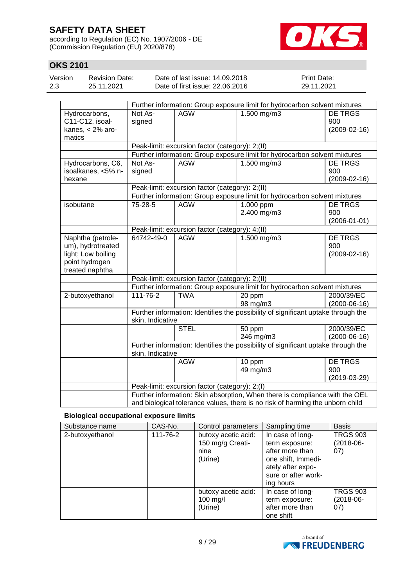according to Regulation (EC) No. 1907/2006 - DE (Commission Regulation (EU) 2020/878)



## **OKS 2101**

| Version | <b>Revision Date:</b> | Date of last issue: 14.09.2018                                             | <b>Print Date:</b> |
|---------|-----------------------|----------------------------------------------------------------------------|--------------------|
| 2.3     | 25.11.2021            | Date of first issue: 22.06.2016                                            | 29.11.2021         |
|         |                       | Eurther information: Group exposure limit for bydrocarbon solvent mixtures |                    |

|                                                                                                   |                                                                                                       |                                                 | Further information: Group exposure limit for hydrocarbon solvent mixtures        |                                             |  |
|---------------------------------------------------------------------------------------------------|-------------------------------------------------------------------------------------------------------|-------------------------------------------------|-----------------------------------------------------------------------------------|---------------------------------------------|--|
| Hydrocarbons,<br>C11-C12, isoal-<br>kanes, $<$ 2% aro-                                            | Not As-<br>signed                                                                                     | <b>AGW</b>                                      | $1.500$ mg/m $3$                                                                  | <b>DE TRGS</b><br>900<br>$(2009 - 02 - 16)$ |  |
| matics                                                                                            |                                                                                                       |                                                 |                                                                                   |                                             |  |
|                                                                                                   |                                                                                                       | Peak-limit: excursion factor (category): 2;(II) |                                                                                   |                                             |  |
|                                                                                                   |                                                                                                       |                                                 | Further information: Group exposure limit for hydrocarbon solvent mixtures        |                                             |  |
| Hydrocarbons, C6,<br>isoalkanes, <5% n-                                                           | Not As-<br>signed                                                                                     | <b>AGW</b>                                      | 1.500 mg/m3                                                                       | <b>DE TRGS</b><br>900                       |  |
| hexane                                                                                            |                                                                                                       |                                                 |                                                                                   | $(2009 - 02 - 16)$                          |  |
|                                                                                                   |                                                                                                       | Peak-limit: excursion factor (category): 2;(II) |                                                                                   |                                             |  |
|                                                                                                   |                                                                                                       |                                                 | Further information: Group exposure limit for hydrocarbon solvent mixtures        |                                             |  |
| isobutane                                                                                         | 75-28-5                                                                                               | <b>AGW</b>                                      | $1.000$ ppm<br>2.400 mg/m3                                                        | <b>DE TRGS</b><br>900<br>$(2006 - 01 - 01)$ |  |
|                                                                                                   |                                                                                                       | Peak-limit: excursion factor (category): 4;(II) |                                                                                   |                                             |  |
| Naphtha (petrole-<br>um), hydrotreated<br>light; Low boiling<br>point hydrogen<br>treated naphtha | 64742-49-0                                                                                            | <b>AGW</b>                                      | $1.500$ mg/m3                                                                     | <b>DE TRGS</b><br>900<br>$(2009-02-16)$     |  |
|                                                                                                   | Peak-limit: excursion factor (category): 2;(II)                                                       |                                                 |                                                                                   |                                             |  |
|                                                                                                   |                                                                                                       |                                                 | Further information: Group exposure limit for hydrocarbon solvent mixtures        |                                             |  |
| 2-butoxyethanol                                                                                   | 111-76-2                                                                                              | <b>TWA</b>                                      | 20 ppm<br>98 mg/m3                                                                | 2000/39/EC<br>$(2000-06-16)$                |  |
|                                                                                                   | skin, Indicative                                                                                      |                                                 | Further information: Identifies the possibility of significant uptake through the |                                             |  |
|                                                                                                   |                                                                                                       | <b>STEL</b>                                     | 50 ppm<br>246 mg/m3                                                               | 2000/39/EC<br>$(2000-06-16)$                |  |
|                                                                                                   | Further information: Identifies the possibility of significant uptake through the<br>skin, Indicative |                                                 |                                                                                   |                                             |  |
|                                                                                                   |                                                                                                       | <b>AGW</b>                                      | 10 ppm<br>49 mg/m3                                                                | <b>DE TRGS</b><br>900<br>$(2019-03-29)$     |  |
|                                                                                                   |                                                                                                       | Peak-limit: excursion factor (category): 2;(I)  |                                                                                   |                                             |  |
|                                                                                                   |                                                                                                       |                                                 | Further information: Skin absorption, When there is compliance with the OEL       |                                             |  |
|                                                                                                   | and biological tolerance values, there is no risk of harming the unborn child                         |                                                 |                                                                                   |                                             |  |

#### **Biological occupational exposure limits**

| Substance name  | CAS-No.  | Control parameters                                         | Sampling time                                                                                                                        | <b>Basis</b>                           |
|-----------------|----------|------------------------------------------------------------|--------------------------------------------------------------------------------------------------------------------------------------|----------------------------------------|
| 2-butoxyethanol | 111-76-2 | butoxy acetic acid:<br>150 mg/g Creati-<br>nine<br>(Urine) | In case of long-<br>term exposure:<br>after more than<br>one shift, Immedi-<br>ately after expo-<br>sure or after work-<br>ing hours | <b>TRGS 903</b><br>$(2018-06-$<br>07)  |
|                 |          | butoxy acetic acid:<br>$100$ mg/l<br>(Urine)               | In case of long-<br>term exposure:<br>after more than<br>one shift                                                                   | <b>TRGS 903</b><br>$(2018-06-$<br>(07) |

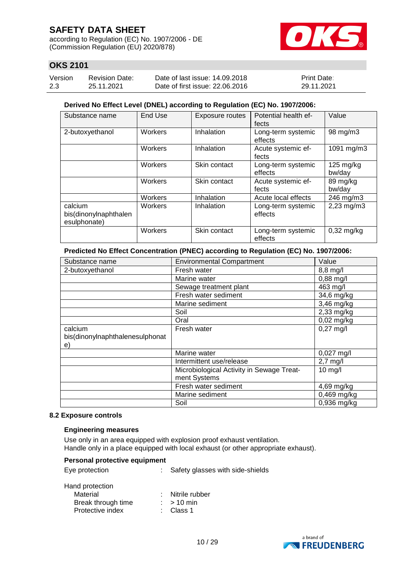according to Regulation (EC) No. 1907/2006 - DE (Commission Regulation (EU) 2020/878)



## **OKS 2101**

| Version | <b>Revision Date:</b> | Date of last issue: 14.09.2018  | <b>Print Date:</b> |
|---------|-----------------------|---------------------------------|--------------------|
| 2.3     | 25.11.2021            | Date of first issue: 22,06,2016 | 29.11.2021         |

#### **Derived No Effect Level (DNEL) according to Regulation (EC) No. 1907/2006:**

| Substance name                                   | End Use | Exposure routes | Potential health ef-<br>fects | Value                         |
|--------------------------------------------------|---------|-----------------|-------------------------------|-------------------------------|
| 2-butoxyethanol                                  | Workers | Inhalation      | Long-term systemic<br>effects | 98 mg/m3                      |
|                                                  | Workers | Inhalation      | Acute systemic ef-<br>fects   | 1091 mg/m3                    |
|                                                  | Workers | Skin contact    | Long-term systemic<br>effects | $125 \text{ mg/kg}$<br>bw/day |
|                                                  | Workers | Skin contact    | Acute systemic ef-<br>fects   | 89 mg/kg<br>bw/day            |
|                                                  | Workers | Inhalation      | Acute local effects           | 246 mg/m3                     |
| calcium<br>bis(dinonylnaphthalen<br>esulphonate) | Workers | Inhalation      | Long-term systemic<br>effects | 2,23 mg/m3                    |
|                                                  | Workers | Skin contact    | Long-term systemic<br>effects | $0,32$ mg/kg                  |

#### **Predicted No Effect Concentration (PNEC) according to Regulation (EC) No. 1907/2006:**

| Substance name                  | <b>Environmental Compartment</b>          | Value                |
|---------------------------------|-------------------------------------------|----------------------|
| 2-butoxyethanol                 | Fresh water                               | $8,8$ mg/l           |
|                                 | Marine water                              | $0,88$ mg/l          |
|                                 | Sewage treatment plant                    | 463 mg/l             |
|                                 | Fresh water sediment                      | 34,6 mg/kg           |
|                                 | Marine sediment                           | 3,46 mg/kg           |
|                                 | Soil                                      | $2,33$ mg/kg         |
|                                 | Oral                                      | $0,02$ mg/kg         |
| calcium                         | Fresh water                               | $0,27$ mg/l          |
| bis(dinonylnaphthalenesulphonat |                                           |                      |
| e)                              |                                           |                      |
|                                 | Marine water                              | $0,027 \text{ mg/l}$ |
|                                 | Intermittent use/release                  | $2,7$ mg/l           |
|                                 | Microbiological Activity in Sewage Treat- | $10$ mg/l            |
|                                 | ment Systems                              |                      |
|                                 | Fresh water sediment                      | $4,69$ mg/kg         |
|                                 | Marine sediment                           | 0,469 mg/kg          |
|                                 | Soil                                      | 0,936 mg/kg          |

#### **8.2 Exposure controls**

#### **Engineering measures**

Use only in an area equipped with explosion proof exhaust ventilation. Handle only in a place equipped with local exhaust (or other appropriate exhaust).

| Personal protective equipment                                         |                                             |
|-----------------------------------------------------------------------|---------------------------------------------|
| Eye protection                                                        | Safety glasses with side-shields            |
| Hand protection<br>Material<br>Break through time<br>Protective index | Nitrile rubber<br>$:$ > 10 min<br>∶ Class 1 |

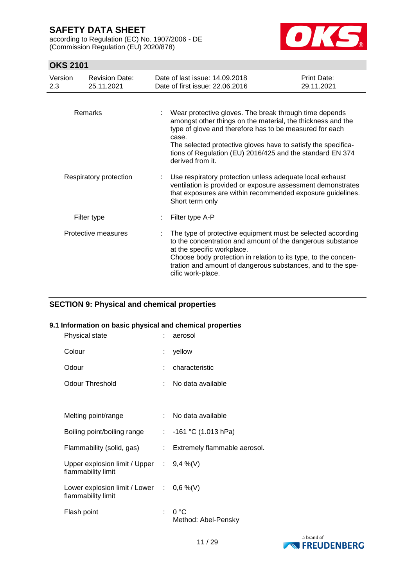according to Regulation (EC) No. 1907/2006 - DE (Commission Regulation (EU) 2020/878)



## **OKS 2101**

| Version<br>$2.3\,$ | <b>Revision Date:</b><br>25.11.2021 | Date of last issue: 14,09,2018<br>Date of first issue: 22.06.2016                                                                                                                                                                                                                                                                           | <b>Print Date:</b><br>29.11.2021 |
|--------------------|-------------------------------------|---------------------------------------------------------------------------------------------------------------------------------------------------------------------------------------------------------------------------------------------------------------------------------------------------------------------------------------------|----------------------------------|
|                    | Remarks                             | Wear protective gloves. The break through time depends<br>amongst other things on the material, the thickness and the<br>type of glove and therefore has to be measured for each<br>case.<br>The selected protective gloves have to satisfy the specifica-<br>tions of Regulation (EU) 2016/425 and the standard EN 374<br>derived from it. |                                  |
|                    | Respiratory protection              | Use respiratory protection unless adequate local exhaust<br>ventilation is provided or exposure assessment demonstrates<br>that exposures are within recommended exposure guidelines.<br>Short term only                                                                                                                                    |                                  |
|                    | Filter type                         | Filter type A-P                                                                                                                                                                                                                                                                                                                             |                                  |
|                    | Protective measures                 | The type of protective equipment must be selected according<br>to the concentration and amount of the dangerous substance<br>at the specific workplace.<br>Choose body protection in relation to its type, to the concen-<br>tration and amount of dangerous substances, and to the spe-<br>cific work-place.                               |                                  |

#### **SECTION 9: Physical and chemical properties**

#### **9.1 Information on basic physical and chemical properties**

| Physical state                                                    |    | aerosol                               |
|-------------------------------------------------------------------|----|---------------------------------------|
| Colour                                                            | t. | yellow                                |
| Odour                                                             |    | characteristic                        |
| Odour Threshold                                                   |    | No data available                     |
|                                                                   |    |                                       |
| Melting point/range                                               |    | : No data available                   |
| Boiling point/boiling range                                       |    | : $-161$ °C (1.013 hPa)               |
| Flammability (solid, gas)                                         |    | : Extremely flammable aerosol.        |
| Upper explosion limit / Upper : $9,4\%$ (V)<br>flammability limit |    |                                       |
| Lower explosion limit / Lower : $0,6\%$ (V)<br>flammability limit |    |                                       |
| Flash point                                                       |    | $: 0^{\circ}C$<br>Method: Abel-Pensky |

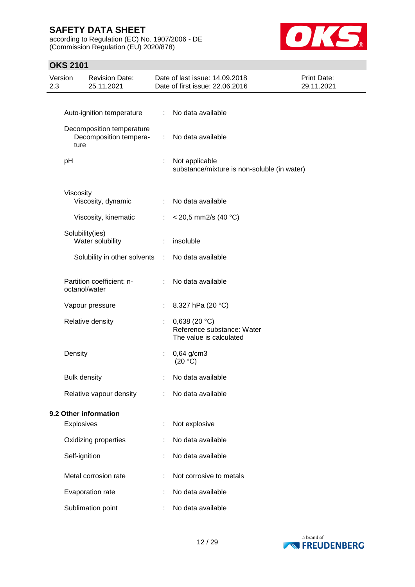according to Regulation (EC) No. 1907/2006 - DE (Commission Regulation (EU) 2020/878)



## **OKS 2101**

| Version<br>2.3 |                     | <b>Revision Date:</b><br>25.11.2021                 |    | Date of last issue: 14.09.2018<br>Date of first issue: 22.06.2016         | Print Date:<br>29.11.2021 |
|----------------|---------------------|-----------------------------------------------------|----|---------------------------------------------------------------------------|---------------------------|
|                |                     |                                                     |    |                                                                           |                           |
|                |                     | Auto-ignition temperature                           | ÷  | No data available                                                         |                           |
|                | ture                | Decomposition temperature<br>Decomposition tempera- | ÷. | No data available                                                         |                           |
|                | pH                  |                                                     | ÷  | Not applicable<br>substance/mixture is non-soluble (in water)             |                           |
|                | Viscosity           |                                                     |    |                                                                           |                           |
|                |                     | Viscosity, dynamic                                  |    | No data available                                                         |                           |
|                |                     | Viscosity, kinematic                                | t. | $<$ 20,5 mm2/s (40 °C)                                                    |                           |
|                |                     | Solubility(ies)<br>Water solubility                 | ÷. | insoluble                                                                 |                           |
|                |                     | Solubility in other solvents                        | ÷  | No data available                                                         |                           |
|                |                     | Partition coefficient: n-<br>octanol/water          |    | No data available                                                         |                           |
|                |                     | Vapour pressure                                     |    | 8.327 hPa (20 °C)                                                         |                           |
|                |                     | Relative density                                    |    | 0,638 (20 $°C$ )<br>Reference substance: Water<br>The value is calculated |                           |
|                | Density             |                                                     |    | $0,64$ g/cm3<br>(20 °C)                                                   |                           |
|                | <b>Bulk density</b> |                                                     |    | No data available                                                         |                           |
|                |                     | Relative vapour density                             |    | No data available                                                         |                           |
|                |                     | 9.2 Other information                               |    |                                                                           |                           |
|                | <b>Explosives</b>   |                                                     |    | Not explosive                                                             |                           |
|                |                     | Oxidizing properties                                |    | No data available                                                         |                           |
|                | Self-ignition       |                                                     |    | No data available                                                         |                           |
|                |                     | Metal corrosion rate                                |    | Not corrosive to metals                                                   |                           |
|                |                     | Evaporation rate                                    |    | No data available                                                         |                           |
|                |                     | Sublimation point                                   |    | No data available                                                         |                           |
|                |                     |                                                     |    |                                                                           |                           |

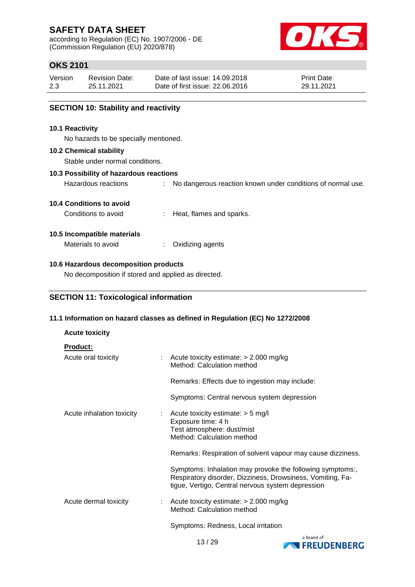according to Regulation (EC) No. 1907/2006 - DE (Commission Regulation (EU) 2020/878)



## **OKS 2101**

| Version | <b>Revision Date:</b> | Date of last issue: 14.09.2018  | <b>Print Date:</b> |
|---------|-----------------------|---------------------------------|--------------------|
| 2.3     | 25.11.2021            | Date of first issue: 22,06,2016 | 29.11.2021         |

Hazardous reactions : No dangerous reaction known under conditions of normal use.

#### **SECTION 10: Stability and reactivity**

#### **10.1 Reactivity**

No hazards to be specially mentioned.

#### **10.2 Chemical stability**

Stable under normal conditions.

#### **10.3 Possibility of hazardous reactions**

**10.4 Conditions to avoid**

Conditions to avoid : Heat, flames and sparks.

#### **10.5 Incompatible materials**

Materials to avoid : Oxidizing agents

#### **10.6 Hazardous decomposition products**

No decomposition if stored and applied as directed.

#### **SECTION 11: Toxicological information**

#### **11.1 Information on hazard classes as defined in Regulation (EC) No 1272/2008**

#### **Acute toxicity**

| <b>Product:</b>            |                                                                                                                                                                              |
|----------------------------|------------------------------------------------------------------------------------------------------------------------------------------------------------------------------|
| Acute oral toxicity        | Acute toxicity estimate: $> 2.000$ mg/kg<br>Method: Calculation method                                                                                                       |
|                            | Remarks: Effects due to ingestion may include:                                                                                                                               |
|                            | Symptoms: Central nervous system depression                                                                                                                                  |
| Acute inhalation toxicity  | Acute toxicity estimate: $>$ 5 mg/l<br>Exposure time: 4 h<br>Test atmosphere: dust/mist<br>Method: Calculation method                                                        |
|                            | Remarks: Respiration of solvent vapour may cause dizziness.                                                                                                                  |
|                            | Symptoms: Inhalation may provoke the following symptoms:,<br>Respiratory disorder, Dizziness, Drowsiness, Vomiting, Fa-<br>tigue, Vertigo, Central nervous system depression |
| Acute dermal toxicity<br>÷ | Acute toxicity estimate: $> 2.000$ mg/kg<br>Method: Calculation method                                                                                                       |
|                            | Symptoms: Redness, Local irritation                                                                                                                                          |

a brand of **EXPRESSION FREUDENBERG**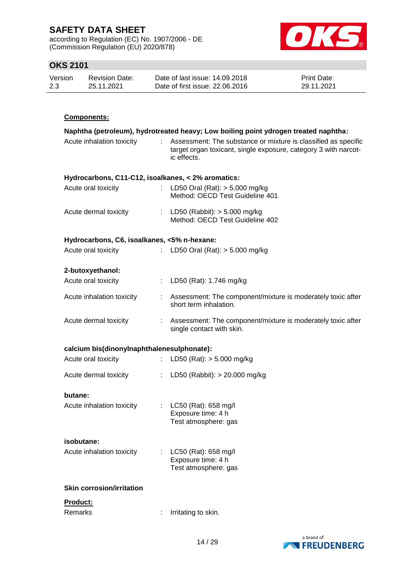according to Regulation (EC) No. 1907/2006 - DE (Commission Regulation (EU) 2020/878)



## **OKS 2101**

| Version | <b>Revision Date:</b> | Date of last issue: 14.09.2018  | <b>Print Date:</b> |
|---------|-----------------------|---------------------------------|--------------------|
| 2.3     | 25.11.2021            | Date of first issue: 22,06,2016 | 29.11.2021         |

## **Components:**

|                                                    |    | Naphtha (petroleum), hydrotreated heavy; Low boiling point ydrogen treated naphtha:                                                              |
|----------------------------------------------------|----|--------------------------------------------------------------------------------------------------------------------------------------------------|
| Acute inhalation toxicity                          | t. | Assessment: The substance or mixture is classified as specific<br>target organ toxicant, single exposure, category 3 with narcot-<br>ic effects. |
| Hydrocarbons, C11-C12, isoalkanes, < 2% aromatics: |    |                                                                                                                                                  |
| Acute oral toxicity                                |    | : LD50 Oral (Rat): $>$ 5.000 mg/kg<br>Method: OECD Test Guideline 401                                                                            |
| Acute dermal toxicity                              |    | : LD50 (Rabbit): $> 5.000$ mg/kg<br>Method: OECD Test Guideline 402                                                                              |
| Hydrocarbons, C6, isoalkanes, <5% n-hexane:        |    |                                                                                                                                                  |
| Acute oral toxicity                                | t. | LD50 Oral (Rat): $> 5.000$ mg/kg                                                                                                                 |
| 2-butoxyethanol:                                   |    |                                                                                                                                                  |
| Acute oral toxicity                                | t. | LD50 (Rat): 1.746 mg/kg                                                                                                                          |
| Acute inhalation toxicity                          |    | : Assessment: The component/mixture is moderately toxic after<br>short term inhalation.                                                          |
| Acute dermal toxicity                              |    | : Assessment: The component/mixture is moderately toxic after<br>single contact with skin.                                                       |
| calcium bis(dinonylnaphthalenesulphonate):         |    |                                                                                                                                                  |
| Acute oral toxicity                                | t. | LD50 (Rat): $> 5.000$ mg/kg                                                                                                                      |
| Acute dermal toxicity                              |    | : LD50 (Rabbit): $> 20.000$ mg/kg                                                                                                                |
| butane:                                            |    |                                                                                                                                                  |
| Acute inhalation toxicity                          |    | : $LC50$ (Rat): 658 mg/l<br>Exposure time: 4 h<br>Test atmosphere: gas                                                                           |
| isobutane:                                         |    |                                                                                                                                                  |
| Acute inhalation toxicity                          |    | LC50 (Rat): 658 mg/l<br>Exposure time: 4 h<br>Test atmosphere: gas                                                                               |
|                                                    |    |                                                                                                                                                  |
| <b>Skin corrosion/irritation</b>                   |    |                                                                                                                                                  |
| Product:<br>Remarks                                |    |                                                                                                                                                  |

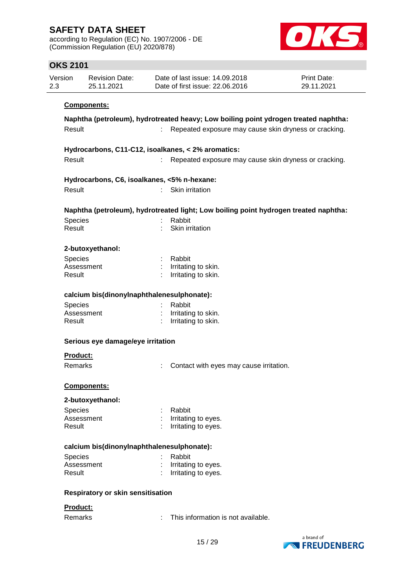according to Regulation (EC) No. 1907/2006 - DE (Commission Regulation (EU) 2020/878)



### **OKS 2101**

| Version<br>2.3 | <b>Revision Date:</b><br>25.11.2021 | Date of last issue: 14.09.2018<br>Date of first issue: 22.06.2016                    | Print Date:<br>29.11.2021 |
|----------------|-------------------------------------|--------------------------------------------------------------------------------------|---------------------------|
|                | Components:                         |                                                                                      |                           |
|                |                                     | Naphtha (petroleum), hydrotreated heavy; Low boiling point ydrogen treated naphtha:  |                           |
| Result         |                                     | Repeated exposure may cause skin dryness or cracking.                                |                           |
|                |                                     | Hydrocarbons, C11-C12, isoalkanes, < 2% aromatics:                                   |                           |
| Result         |                                     | Repeated exposure may cause skin dryness or cracking.<br>÷.                          |                           |
|                |                                     | Hydrocarbons, C6, isoalkanes, <5% n-hexane:                                          |                           |
| Result         |                                     | Skin irritation                                                                      |                           |
|                |                                     | Naphtha (petroleum), hydrotreated light; Low boiling point hydrogen treated naphtha: |                           |
| Species        |                                     | Rabbit                                                                               |                           |
| Result         |                                     | Skin irritation                                                                      |                           |
|                | 2-butoxyethanol:                    |                                                                                      |                           |
| Species        |                                     | Rabbit                                                                               |                           |
|                | Assessment                          | Irritating to skin.                                                                  |                           |
| Result         |                                     | Irritating to skin.                                                                  |                           |
|                |                                     | calcium bis(dinonylnaphthalenesulphonate):                                           |                           |
| Species        |                                     | Rabbit                                                                               |                           |
|                | Assessment                          | Irritating to skin.                                                                  |                           |
| Result         |                                     | Irritating to skin.                                                                  |                           |
|                | Serious eye damage/eye irritation   |                                                                                      |                           |
| Product:       |                                     |                                                                                      |                           |
| Remarks        |                                     | Contact with eyes may cause irritation.                                              |                           |
|                | <u>Components:</u>                  |                                                                                      |                           |
|                | 2-butoxyethanol:                    |                                                                                      |                           |
| Species        |                                     | Rabbit                                                                               |                           |
|                | Assessment                          | Irritating to eyes.                                                                  |                           |
| Result         |                                     | Irritating to eyes.                                                                  |                           |
|                |                                     | calcium bis(dinonylnaphthalenesulphonate):                                           |                           |
| Species        |                                     | Rabbit                                                                               |                           |
|                | Assessment                          | Irritating to eyes.                                                                  |                           |
| Result         |                                     | Irritating to eyes.                                                                  |                           |
|                | Respiratory or skin sensitisation   |                                                                                      |                           |
| Product:       |                                     |                                                                                      |                           |
| Remarks        |                                     | This information is not available.                                                   |                           |
|                |                                     |                                                                                      |                           |

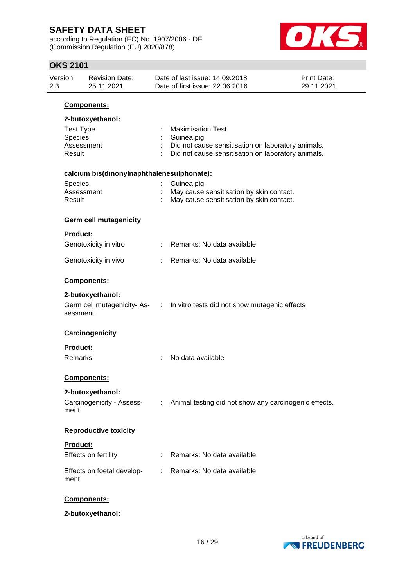according to Regulation (EC) No. 1907/2006 - DE (Commission Regulation (EU) 2020/878)



| <b>OKS 2101</b> |                      |                                            |   |                                                                   |                           |
|-----------------|----------------------|--------------------------------------------|---|-------------------------------------------------------------------|---------------------------|
| Version<br>2.3  |                      | <b>Revision Date:</b><br>25.11.2021        |   | Date of last issue: 14.09.2018<br>Date of first issue: 22.06.2016 | Print Date:<br>29.11.2021 |
|                 |                      | Components:                                |   |                                                                   |                           |
|                 |                      | 2-butoxyethanol:                           |   |                                                                   |                           |
|                 | <b>Test Type</b>     |                                            |   | <b>Maximisation Test</b>                                          |                           |
|                 | <b>Species</b>       |                                            |   | Guinea pig                                                        |                           |
|                 | Assessment<br>Result |                                            |   | Did not cause sensitisation on laboratory animals.                |                           |
|                 |                      |                                            |   | Did not cause sensitisation on laboratory animals.                |                           |
|                 |                      | calcium bis(dinonylnaphthalenesulphonate): |   |                                                                   |                           |
|                 | <b>Species</b>       |                                            |   | Guinea pig                                                        |                           |
|                 | Assessment           |                                            |   | May cause sensitisation by skin contact.                          |                           |
|                 | Result               |                                            |   | May cause sensitisation by skin contact.                          |                           |
|                 |                      | Germ cell mutagenicity                     |   |                                                                   |                           |
|                 | Product:             |                                            |   |                                                                   |                           |
|                 |                      | Genotoxicity in vitro                      |   | Remarks: No data available                                        |                           |
|                 |                      | Genotoxicity in vivo                       |   | Remarks: No data available                                        |                           |
|                 |                      | Components:                                |   |                                                                   |                           |
|                 |                      | 2-butoxyethanol:                           |   |                                                                   |                           |
|                 | sessment             | Germ cell mutagenicity-As- :               |   | In vitro tests did not show mutagenic effects                     |                           |
|                 |                      | Carcinogenicity                            |   |                                                                   |                           |
|                 | <b>Product:</b>      |                                            |   |                                                                   |                           |
|                 | Remarks              |                                            |   | No data available                                                 |                           |
|                 |                      | Components:                                |   |                                                                   |                           |
|                 |                      | 2-butoxyethanol:                           |   |                                                                   |                           |
|                 | ment                 | Carcinogenicity - Assess-                  | ÷ | Animal testing did not show any carcinogenic effects.             |                           |
|                 |                      | <b>Reproductive toxicity</b>               |   |                                                                   |                           |
|                 | Product:             |                                            |   |                                                                   |                           |
|                 |                      | Effects on fertility                       |   | Remarks: No data available                                        |                           |
|                 |                      |                                            |   |                                                                   |                           |
|                 | ment                 | Effects on foetal develop-                 |   | Remarks: No data available                                        |                           |
|                 |                      |                                            |   |                                                                   |                           |
|                 |                      |                                            |   |                                                                   |                           |

## **Components:**

**2-butoxyethanol:**

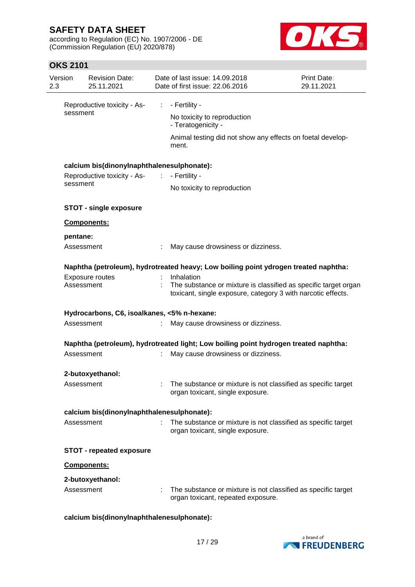according to Regulation (EC) No. 1907/2006 - DE (Commission Regulation (EU) 2020/878)



## **OKS 2101**

| Version<br>2.3 |                                             | <b>Revision Date:</b><br>25.11.2021         |                             | Date of last issue: 14.09.2018<br>Date of first issue: 22.06.2016                                                                             | <b>Print Date:</b><br>29.11.2021 |
|----------------|---------------------------------------------|---------------------------------------------|-----------------------------|-----------------------------------------------------------------------------------------------------------------------------------------------|----------------------------------|
|                | sessment                                    | Reproductive toxicity - As-                 | $\mathcal{L}^{\mathcal{L}}$ | - Fertility -<br>No toxicity to reproduction<br>- Teratogenicity -                                                                            |                                  |
|                |                                             |                                             |                             | Animal testing did not show any effects on foetal develop-<br>ment.                                                                           |                                  |
|                |                                             | calcium bis(dinonylnaphthalenesulphonate):  |                             |                                                                                                                                               |                                  |
|                |                                             | Reproductive toxicity - As- : - Fertility - |                             |                                                                                                                                               |                                  |
|                | sessment                                    |                                             |                             | No toxicity to reproduction                                                                                                                   |                                  |
|                |                                             | <b>STOT - single exposure</b>               |                             |                                                                                                                                               |                                  |
|                |                                             | Components:                                 |                             |                                                                                                                                               |                                  |
|                | pentane:                                    |                                             |                             |                                                                                                                                               |                                  |
|                | Assessment                                  |                                             |                             | May cause drowsiness or dizziness.                                                                                                            |                                  |
|                |                                             |                                             |                             | Naphtha (petroleum), hydrotreated heavy; Low boiling point ydrogen treated naphtha:                                                           |                                  |
|                | Assessment                                  | Exposure routes                             |                             | Inhalation<br>The substance or mixture is classified as specific target organ<br>toxicant, single exposure, category 3 with narcotic effects. |                                  |
|                | Hydrocarbons, C6, isoalkanes, <5% n-hexane: |                                             |                             |                                                                                                                                               |                                  |
|                | Assessment                                  |                                             | ÷                           | May cause drowsiness or dizziness.                                                                                                            |                                  |
|                |                                             |                                             |                             | Naphtha (petroleum), hydrotreated light; Low boiling point hydrogen treated naphtha:                                                          |                                  |
|                | Assessment                                  |                                             |                             | May cause drowsiness or dizziness.                                                                                                            |                                  |
|                |                                             | 2-butoxyethanol:                            |                             |                                                                                                                                               |                                  |
|                | Assessment                                  |                                             |                             | The substance or mixture is not classified as specific target<br>organ toxicant, single exposure.                                             |                                  |
|                |                                             | calcium bis(dinonylnaphthalenesulphonate):  |                             |                                                                                                                                               |                                  |
|                | Assessment                                  |                                             |                             | The substance or mixture is not classified as specific target<br>organ toxicant, single exposure.                                             |                                  |
|                |                                             | <b>STOT - repeated exposure</b>             |                             |                                                                                                                                               |                                  |
|                |                                             | Components:                                 |                             |                                                                                                                                               |                                  |
|                |                                             | 2-butoxyethanol:                            |                             |                                                                                                                                               |                                  |
|                | Assessment                                  |                                             |                             | The substance or mixture is not classified as specific target<br>organ toxicant, repeated exposure.                                           |                                  |

#### **calcium bis(dinonylnaphthalenesulphonate):**

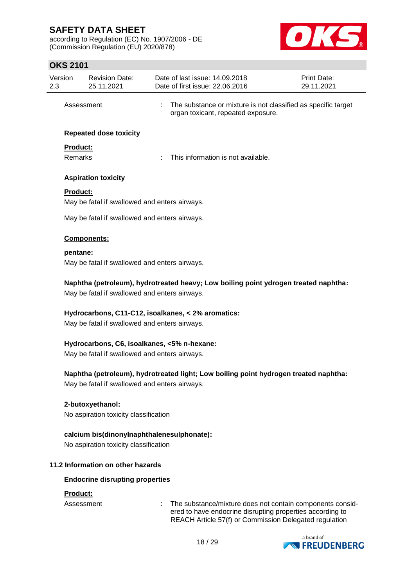according to Regulation (EC) No. 1907/2006 - DE (Commission Regulation (EU) 2020/878)



## **OKS 2101**

| Version<br>2.3 |                                                                                                                                       | <b>Revision Date:</b><br>25.11.2021           |  | Date of last issue: 14.09.2018<br>Date of first issue: 22.06.2016                                                                                                                | <b>Print Date:</b><br>29.11.2021 |  |  |
|----------------|---------------------------------------------------------------------------------------------------------------------------------------|-----------------------------------------------|--|----------------------------------------------------------------------------------------------------------------------------------------------------------------------------------|----------------------------------|--|--|
|                | Assessment                                                                                                                            |                                               |  | The substance or mixture is not classified as specific target<br>organ toxicant, repeated exposure.                                                                              |                                  |  |  |
|                |                                                                                                                                       | <b>Repeated dose toxicity</b>                 |  |                                                                                                                                                                                  |                                  |  |  |
|                | Product:                                                                                                                              |                                               |  |                                                                                                                                                                                  |                                  |  |  |
|                | <b>Remarks</b>                                                                                                                        |                                               |  | This information is not available.                                                                                                                                               |                                  |  |  |
|                |                                                                                                                                       | <b>Aspiration toxicity</b>                    |  |                                                                                                                                                                                  |                                  |  |  |
|                | <b>Product:</b>                                                                                                                       |                                               |  |                                                                                                                                                                                  |                                  |  |  |
|                |                                                                                                                                       | May be fatal if swallowed and enters airways. |  |                                                                                                                                                                                  |                                  |  |  |
|                |                                                                                                                                       | May be fatal if swallowed and enters airways. |  |                                                                                                                                                                                  |                                  |  |  |
|                |                                                                                                                                       | Components:                                   |  |                                                                                                                                                                                  |                                  |  |  |
|                | pentane:                                                                                                                              |                                               |  |                                                                                                                                                                                  |                                  |  |  |
|                |                                                                                                                                       | May be fatal if swallowed and enters airways. |  |                                                                                                                                                                                  |                                  |  |  |
|                | Naphtha (petroleum), hydrotreated heavy; Low boiling point ydrogen treated naphtha:<br>May be fatal if swallowed and enters airways.  |                                               |  |                                                                                                                                                                                  |                                  |  |  |
|                | Hydrocarbons, C11-C12, isoalkanes, < 2% aromatics:<br>May be fatal if swallowed and enters airways.                                   |                                               |  |                                                                                                                                                                                  |                                  |  |  |
|                | Hydrocarbons, C6, isoalkanes, <5% n-hexane:<br>May be fatal if swallowed and enters airways.                                          |                                               |  |                                                                                                                                                                                  |                                  |  |  |
|                | Naphtha (petroleum), hydrotreated light; Low boiling point hydrogen treated naphtha:<br>May be fatal if swallowed and enters airways. |                                               |  |                                                                                                                                                                                  |                                  |  |  |
|                | 2-butoxyethanol:<br>No aspiration toxicity classification                                                                             |                                               |  |                                                                                                                                                                                  |                                  |  |  |
|                | calcium bis(dinonylnaphthalenesulphonate):<br>No aspiration toxicity classification                                                   |                                               |  |                                                                                                                                                                                  |                                  |  |  |
|                |                                                                                                                                       | 11.2 Information on other hazards             |  |                                                                                                                                                                                  |                                  |  |  |
|                |                                                                                                                                       | <b>Endocrine disrupting properties</b>        |  |                                                                                                                                                                                  |                                  |  |  |
|                | Product:                                                                                                                              |                                               |  |                                                                                                                                                                                  |                                  |  |  |
|                | Assessment                                                                                                                            |                                               |  | The substance/mixture does not contain components consid-<br>ered to have endocrine disrupting properties according to<br>REACH Article 57(f) or Commission Delegated regulation |                                  |  |  |

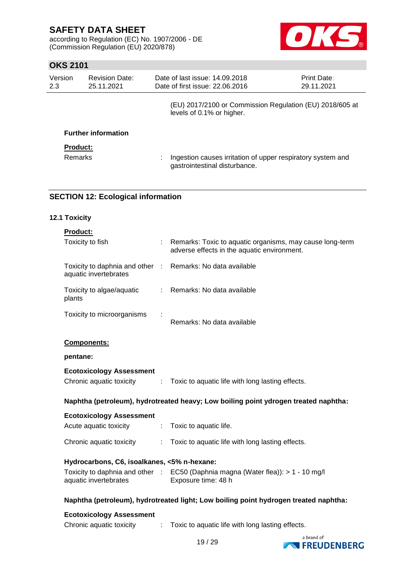according to Regulation (EC) No. 1907/2006 - DE (Commission Regulation (EU) 2020/878)



## **OKS 2101**

| Version<br>2.3             | <b>Revision Date:</b><br>25.11.2021 | Date of last issue: 14,09,2018<br>Date of first issue: 22.06.2016                            | Print Date:<br>29.11.2021 |
|----------------------------|-------------------------------------|----------------------------------------------------------------------------------------------|---------------------------|
|                            |                                     | (EU) 2017/2100 or Commission Regulation (EU) 2018/605 at<br>levels of 0.1% or higher.        |                           |
|                            | <b>Further information</b>          |                                                                                              |                           |
| <b>Product:</b><br>Remarks |                                     | Ingestion causes irritation of upper respiratory system and<br>gastrointestinal disturbance. |                           |

## **SECTION 12: Ecological information**

### **12.1 Toxicity**

| <b>Product:</b>                                                                     |                |                                                                                                         |
|-------------------------------------------------------------------------------------|----------------|---------------------------------------------------------------------------------------------------------|
| Toxicity to fish                                                                    |                | Remarks: Toxic to aquatic organisms, may cause long-term<br>adverse effects in the aquatic environment. |
| Toxicity to daphnia and other : Remarks: No data available<br>aquatic invertebrates |                |                                                                                                         |
| Toxicity to algae/aquatic<br>plants                                                 |                | : Remarks: No data available                                                                            |
| Toxicity to microorganisms                                                          |                | Remarks: No data available                                                                              |
| Components:                                                                         |                |                                                                                                         |
| pentane:                                                                            |                |                                                                                                         |
| <b>Ecotoxicology Assessment</b>                                                     |                |                                                                                                         |
| Chronic aquatic toxicity                                                            | $\mathbb{R}^n$ | Toxic to aquatic life with long lasting effects.                                                        |
|                                                                                     |                | Naphtha (petroleum), hydrotreated heavy; Low boiling point ydrogen treated naphtha:                     |
| <b>Ecotoxicology Assessment</b>                                                     |                |                                                                                                         |
| Acute aquatic toxicity                                                              |                | : Toxic to aquatic life.                                                                                |
| Chronic aquatic toxicity                                                            |                | Toxic to aquatic life with long lasting effects.                                                        |
| Hydrocarbons, C6, isoalkanes, <5% n-hexane:                                         |                |                                                                                                         |
| aquatic invertebrates                                                               |                | Toxicity to daphnia and other : EC50 (Daphnia magna (Water flea)): > 1 - 10 mg/l<br>Exposure time: 48 h |
|                                                                                     |                | Naphtha (petroleum), hydrotreated light; Low boiling point hydrogen treated naphtha:                    |
| <b>Ecotoxicology Assessment</b>                                                     |                |                                                                                                         |
| Chronic aquatic toxicity                                                            | ÷.             | Toxic to aquatic life with long lasting effects.                                                        |

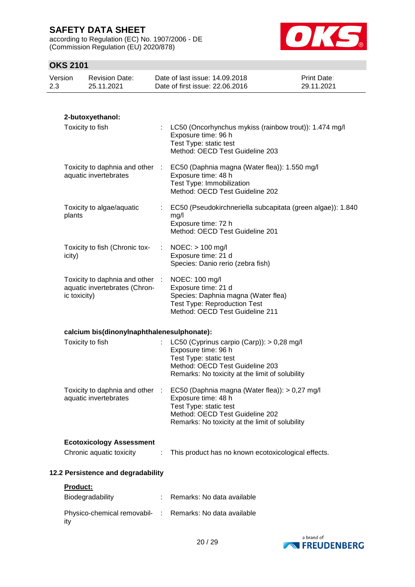according to Regulation (EC) No. 1907/2006 - DE (Commission Regulation (EU) 2020/878)



## **OKS 2101**

| 2.3 | ,,,,,,,,,<br>Version | <b>Revision Date:</b><br>25.11.2021                            |           | Date of last issue: 14.09.2018<br>Date of first issue: 22.06.2016                                                                                                                     | <b>Print Date:</b><br>29.11.2021                            |
|-----|----------------------|----------------------------------------------------------------|-----------|---------------------------------------------------------------------------------------------------------------------------------------------------------------------------------------|-------------------------------------------------------------|
|     |                      |                                                                |           |                                                                                                                                                                                       |                                                             |
|     |                      | 2-butoxyethanol:                                               |           |                                                                                                                                                                                       |                                                             |
|     |                      | Toxicity to fish                                               | ÷         | LC50 (Oncorhynchus mykiss (rainbow trout)): 1.474 mg/l<br>Exposure time: 96 h<br>Test Type: static test<br>Method: OECD Test Guideline 203                                            |                                                             |
|     |                      | Toxicity to daphnia and other :<br>aquatic invertebrates       |           | EC50 (Daphnia magna (Water flea)): 1.550 mg/l<br>Exposure time: 48 h<br>Test Type: Immobilization<br>Method: OECD Test Guideline 202                                                  |                                                             |
|     | plants               | Toxicity to algae/aquatic                                      | ÷.        | mg/l<br>Exposure time: 72 h<br>Method: OECD Test Guideline 201                                                                                                                        | EC50 (Pseudokirchneriella subcapitata (green algae)): 1.840 |
|     | icity)               | Toxicity to fish (Chronic tox-                                 |           | $NOEC:$ > 100 mg/l<br>Exposure time: 21 d<br>Species: Danio rerio (zebra fish)                                                                                                        |                                                             |
|     | ic toxicity)         | Toxicity to daphnia and other<br>aquatic invertebrates (Chron- | $\cdot$ : | NOEC: 100 mg/l<br>Exposure time: 21 d<br>Species: Daphnia magna (Water flea)<br><b>Test Type: Reproduction Test</b><br>Method: OECD Test Guideline 211                                |                                                             |
|     |                      |                                                                |           |                                                                                                                                                                                       |                                                             |
|     |                      | calcium bis(dinonylnaphthalenesulphonate):<br>Toxicity to fish |           | LC50 (Cyprinus carpio (Carp)): > 0,28 mg/l<br>Exposure time: 96 h<br>Test Type: static test<br>Method: OECD Test Guideline 203<br>Remarks: No toxicity at the limit of solubility     |                                                             |
|     |                      | Toxicity to daphnia and other :<br>aquatic invertebrates       |           | EC50 (Daphnia magna (Water flea)): > 0,27 mg/l<br>Exposure time: 48 h<br>Test Type: static test<br>Method: OECD Test Guideline 202<br>Remarks: No toxicity at the limit of solubility |                                                             |
|     |                      |                                                                |           |                                                                                                                                                                                       |                                                             |
|     |                      | <b>Ecotoxicology Assessment</b><br>Chronic aquatic toxicity    |           | This product has no known ecotoxicological effects.                                                                                                                                   |                                                             |
|     |                      | 12.2 Persistence and degradability                             |           |                                                                                                                                                                                       |                                                             |
|     | Product:             |                                                                |           |                                                                                                                                                                                       |                                                             |
|     |                      | Biodegradability                                               |           | Remarks: No data available                                                                                                                                                            |                                                             |
|     | ity                  | Physico-chemical removabil- :                                  |           | Remarks: No data available                                                                                                                                                            |                                                             |

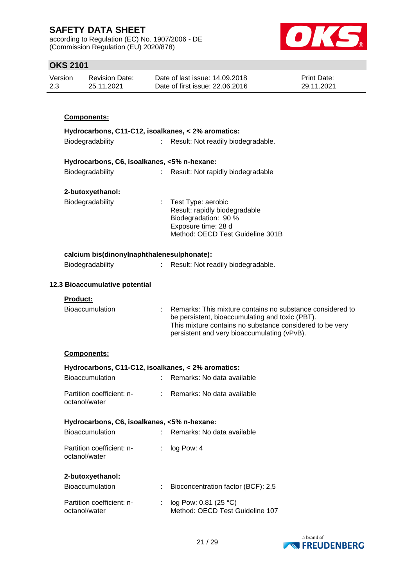according to Regulation (EC) No. 1907/2006 - DE (Commission Regulation (EU) 2020/878)



## **OKS 2101**

| Version | Revision Date: | Date of last issue: 14.09.2018  | <b>Print Date:</b> |
|---------|----------------|---------------------------------|--------------------|
| 2.3     | 25.11.2021     | Date of first issue: 22,06,2016 | 29.11.2021         |

| <b>Components:</b>                          |                                                                                                                                          |
|---------------------------------------------|------------------------------------------------------------------------------------------------------------------------------------------|
|                                             | Hydrocarbons, C11-C12, isoalkanes, < 2% aromatics:                                                                                       |
| Biodegradability                            | Result: Not readily biodegradable.<br>t.                                                                                                 |
| Hydrocarbons, C6, isoalkanes, <5% n-hexane: |                                                                                                                                          |
| Biodegradability                            | Result: Not rapidly biodegradable                                                                                                        |
| 2-butoxyethanol:                            |                                                                                                                                          |
| Biodegradability                            | : Test Type: aerobic<br>Result: rapidly biodegradable<br>Biodegradation: 90 %<br>Exposure time: 28 d<br>Method: OECD Test Guideline 301B |
| calcium bis(dinonylnaphthalenesulphonate):  |                                                                                                                                          |
| Biodegradability                            | Result: Not readily biodegradable.                                                                                                       |

#### **12.3 Bioaccumulative potential**

#### **Product:**

| <b>Bioaccumulation</b> | Remarks: This mixture contains no substance considered to                                               |
|------------------------|---------------------------------------------------------------------------------------------------------|
|                        | be persistent, bioaccumulating and toxic (PBT).                                                         |
|                        | This mixture contains no substance considered to be very<br>persistent and very bioaccumulating (vPvB). |

#### **Components:**

| Hydrocarbons, C11-C12, isoalkanes, < 2% aromatics:<br><b>Bioaccumulation</b> | Remarks: No data available |
|------------------------------------------------------------------------------|----------------------------|
| Partition coefficient: n-<br>octanol/water                                   | Remarks: No data available |
| Hydrocarbons, C6, isoalkanes, <5% n-hexane:                                  |                            |
|                                                                              |                            |
| <b>Bioaccumulation</b>                                                       | Remarks: No data available |
| Partition coefficient: n-<br>octanol/water                                   | log Pow: 4                 |
| 2-butoxyethanol:                                                             |                            |

| <b>Bioaccumulation</b>                     | Bioconcentration factor (BCF): 2,5                           |
|--------------------------------------------|--------------------------------------------------------------|
| Partition coefficient: n-<br>octanol/water | : $log Pow: 0.81 (25 °C)$<br>Method: OECD Test Guideline 107 |

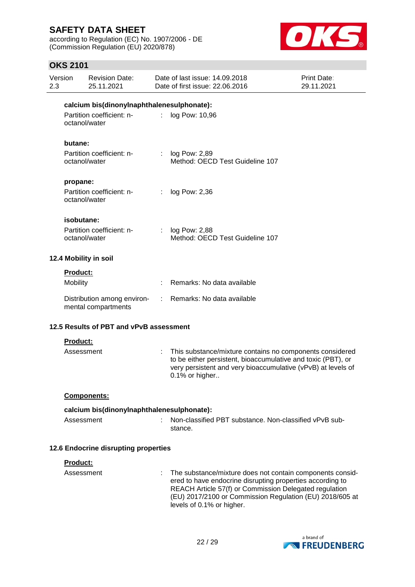according to Regulation (EC) No. 1907/2006 - DE (Commission Regulation (EU) 2020/878)



## **OKS 2101**

| Version<br>2.3        |                                            | <b>Revision Date:</b><br>25.11.2021                |                | Date of last issue: 14.09.2018<br>Date of first issue: 22.06.2016                                                                                                                                          | Print Date:<br>29.11.2021 |  |  |
|-----------------------|--------------------------------------------|----------------------------------------------------|----------------|------------------------------------------------------------------------------------------------------------------------------------------------------------------------------------------------------------|---------------------------|--|--|
|                       | calcium bis(dinonylnaphthalenesulphonate): |                                                    |                |                                                                                                                                                                                                            |                           |  |  |
|                       | Partition coefficient: n-<br>octanol/water |                                                    | t.             | log Pow: 10,96                                                                                                                                                                                             |                           |  |  |
|                       | butane:                                    |                                                    |                |                                                                                                                                                                                                            |                           |  |  |
|                       |                                            | Partition coefficient: n-<br>octanol/water         |                | log Pow: 2,89<br>Method: OECD Test Guideline 107                                                                                                                                                           |                           |  |  |
|                       | propane:                                   |                                                    |                |                                                                                                                                                                                                            |                           |  |  |
|                       |                                            | Partition coefficient: n-<br>octanol/water         |                | log Pow: 2,36                                                                                                                                                                                              |                           |  |  |
|                       | isobutane:                                 |                                                    |                |                                                                                                                                                                                                            |                           |  |  |
|                       |                                            | Partition coefficient: n-<br>octanol/water         | $\mathbb{R}^n$ | log Pow: 2,88<br>Method: OECD Test Guideline 107                                                                                                                                                           |                           |  |  |
| 12.4 Mobility in soil |                                            |                                                    |                |                                                                                                                                                                                                            |                           |  |  |
|                       | Product:                                   |                                                    |                |                                                                                                                                                                                                            |                           |  |  |
|                       | Mobility                                   |                                                    |                | Remarks: No data available                                                                                                                                                                                 |                           |  |  |
|                       |                                            | Distribution among environ-<br>mental compartments | t.             | Remarks: No data available                                                                                                                                                                                 |                           |  |  |
|                       |                                            | 12.5 Results of PBT and vPvB assessment            |                |                                                                                                                                                                                                            |                           |  |  |
|                       | <b>Product:</b>                            |                                                    |                |                                                                                                                                                                                                            |                           |  |  |
|                       | Assessment                                 |                                                    | ÷.             | This substance/mixture contains no components considered<br>to be either persistent, bioaccumulative and toxic (PBT), or<br>very persistent and very bioaccumulative (vPvB) at levels of<br>0.1% or higher |                           |  |  |
|                       |                                            | Components:                                        |                |                                                                                                                                                                                                            |                           |  |  |
|                       | calcium bis(dinonylnaphthalenesulphonate): |                                                    |                |                                                                                                                                                                                                            |                           |  |  |
|                       | Assessment                                 |                                                    |                | Non-classified PBT substance. Non-classified vPvB sub-<br>stance.                                                                                                                                          |                           |  |  |
|                       |                                            | 12.6 Endocrine disrupting properties               |                |                                                                                                                                                                                                            |                           |  |  |
|                       | Product:                                   |                                                    |                |                                                                                                                                                                                                            |                           |  |  |
|                       | Assessment                                 |                                                    |                | The substance/mixture does not contain components consid-<br>ered to have endocrine disrupting properties according to                                                                                     |                           |  |  |

ered to have endocrine disrupting properties according to REACH Article 57(f) or Commission Delegated regulation (EU) 2017/2100 or Commission Regulation (EU) 2018/605 at levels of 0.1% or higher.

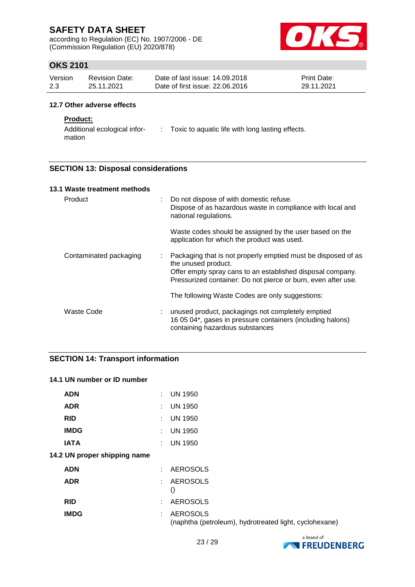according to Regulation (EC) No. 1907/2006 - DE (Commission Regulation (EU) 2020/878)



## **OKS 2101**

| Version | <b>Revision Date:</b> | Date of last issue: 14.09.2018  | <b>Print Date:</b> |
|---------|-----------------------|---------------------------------|--------------------|
| 2.3     | 25.11.2021            | Date of first issue: 22,06,2016 | 29.11.2021         |

#### **12.7 Other adverse effects**

#### **Product:**

| Additional ecological infor- | Toxic to aquatic life with long lasting effects. |
|------------------------------|--------------------------------------------------|
| mation                       |                                                  |

#### **SECTION 13: Disposal considerations**

| 13.1 Waste treatment methods |    |                                                                                                                                                                                                                     |
|------------------------------|----|---------------------------------------------------------------------------------------------------------------------------------------------------------------------------------------------------------------------|
| Product                      | t. | Do not dispose of with domestic refuse.<br>Dispose of as hazardous waste in compliance with local and<br>national regulations.                                                                                      |
|                              |    | Waste codes should be assigned by the user based on the<br>application for which the product was used.                                                                                                              |
| Contaminated packaging       | ÷  | Packaging that is not properly emptied must be disposed of as<br>the unused product.<br>Offer empty spray cans to an established disposal company.<br>Pressurized container: Do not pierce or burn, even after use. |
|                              |    | The following Waste Codes are only suggestions:                                                                                                                                                                     |
| Waste Code                   | t. | unused product, packagings not completely emptied<br>16 05 04*, gases in pressure containers (including halons)<br>containing hazardous substances                                                                  |

#### **SECTION 14: Transport information**

#### **14.1 UN number or ID number**

| <b>ADN</b>                   |               | $\therefore$ UN 1950                                                      |
|------------------------------|---------------|---------------------------------------------------------------------------|
| <b>ADR</b>                   | $\mathcal{L}$ | <b>UN 1950</b>                                                            |
| <b>RID</b>                   |               | $\therefore$ UN 1950                                                      |
| <b>IMDG</b>                  |               | $\therefore$ UN 1950                                                      |
| <b>IATA</b>                  |               | $\therefore$ UN 1950                                                      |
| 14.2 UN proper shipping name |               |                                                                           |
| <b>ADN</b>                   |               | : AEROSOLS                                                                |
| <b>ADR</b>                   |               | : AEROSOLS<br>$\left( \right)$                                            |
| <b>RID</b>                   |               | : AEROSOLS                                                                |
| <b>IMDG</b>                  | ÷.            | <b>AEROSOLS</b><br>(naphtha (petroleum), hydrotreated light, cyclohexane) |

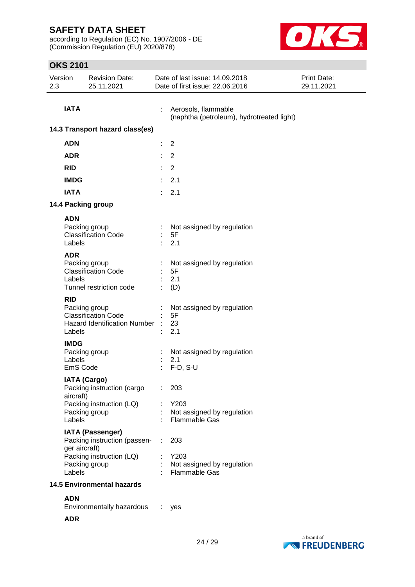according to Regulation (EC) No. 1907/2006 - DE (Commission Regulation (EU) 2020/878)



## **OKS 2101**

| Version<br>2.3                    | <b>Revision Date:</b><br>25.11.2021                                                                                             |    | Date of last issue: 14.09.2018<br>Date of first issue: 22.06.2016 | Print Date:<br>29.11.2021 |
|-----------------------------------|---------------------------------------------------------------------------------------------------------------------------------|----|-------------------------------------------------------------------|---------------------------|
|                                   | <b>IATA</b>                                                                                                                     |    | Aerosols, flammable<br>(naphtha (petroleum), hydrotreated light)  |                           |
|                                   | 14.3 Transport hazard class(es)                                                                                                 |    |                                                                   |                           |
| <b>ADN</b>                        |                                                                                                                                 | ÷  | $\overline{2}$                                                    |                           |
| <b>ADR</b>                        |                                                                                                                                 |    | $\overline{2}$                                                    |                           |
| <b>RID</b>                        |                                                                                                                                 |    | $\overline{2}$                                                    |                           |
|                                   | <b>IMDG</b>                                                                                                                     |    | 2.1                                                               |                           |
|                                   | <b>IATA</b>                                                                                                                     | t. | 2.1                                                               |                           |
|                                   | 14.4 Packing group                                                                                                              |    |                                                                   |                           |
|                                   | <b>ADN</b>                                                                                                                      |    |                                                                   |                           |
|                                   | Packing group<br><b>Classification Code</b><br>Labels                                                                           |    | Not assigned by regulation<br>5F<br>2.1                           |                           |
|                                   | <b>ADR</b><br>Packing group<br><b>Classification Code</b><br>Labels<br>Tunnel restriction code                                  |    | Not assigned by regulation<br>5F<br>2.1<br>(D)                    |                           |
| <b>RID</b>                        | Packing group<br><b>Classification Code</b><br><b>Hazard Identification Number</b><br>Labels                                    |    | Not assigned by regulation<br>5F<br>23<br>2.1                     |                           |
|                                   | <b>IMDG</b>                                                                                                                     |    |                                                                   |                           |
|                                   | Packing group<br>Labels<br>EmS Code                                                                                             | ÷  | Not assigned by regulation<br>2.1<br>$F-D, S-U$                   |                           |
|                                   | <b>IATA (Cargo)</b><br>Packing instruction (cargo<br>aircraft)<br>Packing instruction (LQ)<br>Packing group<br>Labels           |    | 203<br>Y203<br>Not assigned by regulation<br>Flammable Gas        |                           |
|                                   | <b>IATA (Passenger)</b><br>Packing instruction (passen-<br>ger aircraft)<br>Packing instruction (LQ)<br>Packing group<br>Labels |    | 203<br>Y203<br>Not assigned by regulation<br><b>Flammable Gas</b> |                           |
| <b>14.5 Environmental hazards</b> |                                                                                                                                 |    |                                                                   |                           |
|                                   | <b>ADN</b><br>Environmentally hazardous<br><b>ADR</b>                                                                           |    | yes                                                               |                           |

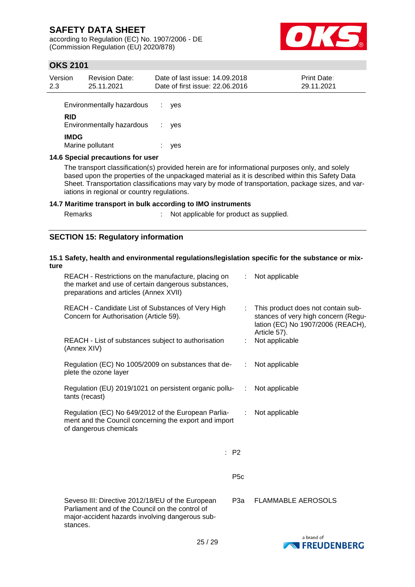according to Regulation (EC) No. 1907/2006 - DE (Commission Regulation (EU) 2020/878)



## **OKS 2101**

| Version<br>2.3 | <b>Revision Date:</b><br>25.11.2021                                                             | Date of last issue: 14.09.2018<br>Date of first issue: 22.06.2016 | Print Date:<br>29.11.2021 |  |  |  |
|----------------|-------------------------------------------------------------------------------------------------|-------------------------------------------------------------------|---------------------------|--|--|--|
|                | Environmentally hazardous                                                                       | yes                                                               |                           |  |  |  |
| <b>RID</b>     | Environmentally hazardous                                                                       | <b>ves</b><br>÷                                                   |                           |  |  |  |
|                | <b>IMDG</b><br>Marine pollutant                                                                 | yes                                                               |                           |  |  |  |
|                | 14.6 Special precautions for user                                                               |                                                                   |                           |  |  |  |
|                | The transport classification(s) provided herein are for informational purposes only, and solely |                                                                   |                           |  |  |  |

based upon the properties of the unpackaged material as it is described within this Safety Data Sheet. Transportation classifications may vary by mode of transportation, package sizes, and variations in regional or country regulations.

#### **14.7 Maritime transport in bulk according to IMO instruments**

Remarks : Not applicable for product as supplied.

#### **SECTION 15: Regulatory information**

#### **15.1 Safety, health and environmental regulations/legislation specific for the substance or mixture**

| REACH - Restrictions on the manufacture, placing on<br>the market and use of certain dangerous substances,<br>preparations and articles (Annex XVII)               |                               | Not applicable                                                                                                 |
|--------------------------------------------------------------------------------------------------------------------------------------------------------------------|-------------------------------|----------------------------------------------------------------------------------------------------------------|
| REACH - Candidate List of Substances of Very High<br>Concern for Authorisation (Article 59).                                                                       | t.                            | This product does not contain sub-<br>stances of very high concern (Regu-<br>lation (EC) No 1907/2006 (REACH), |
| REACH - List of substances subject to authorisation<br>(Annex XIV)                                                                                                 | ÷.                            | Article 57).<br>Not applicable                                                                                 |
| Regulation (EC) No 1005/2009 on substances that de-<br>plete the ozone layer                                                                                       | ÷                             | Not applicable                                                                                                 |
| Regulation (EU) 2019/1021 on persistent organic pollu-<br>tants (recast)                                                                                           | $\mathcal{I}^{\mathcal{I}}$ . | Not applicable                                                                                                 |
| Regulation (EC) No 649/2012 of the European Parlia-<br>ment and the Council concerning the export and import<br>of dangerous chemicals                             | ÷                             | Not applicable                                                                                                 |
|                                                                                                                                                                    | : P2                          |                                                                                                                |
|                                                                                                                                                                    | P <sub>5</sub> c              |                                                                                                                |
| Seveso III: Directive 2012/18/EU of the European<br>Parliament and of the Council on the control of<br>major-accident hazards involving dangerous sub-<br>stances. | P3a                           | <b>FLAMMABLE AEROSOLS</b>                                                                                      |

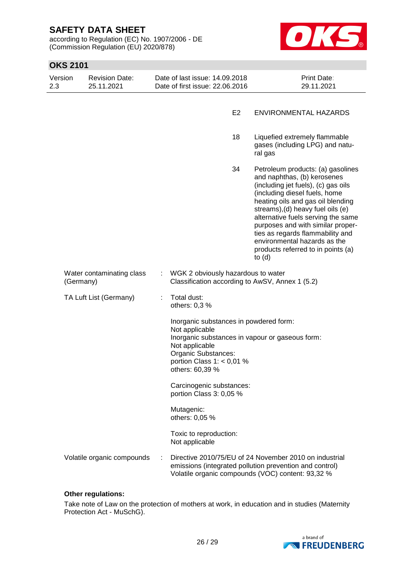according to Regulation (EC) No. 1907/2006 - DE (Commission Regulation (EU) 2020/878)



| <b>OKS 2101</b> |           |                                     |   |                                                                                                                                                     |                |                                                                                                                                                                                                                                                                                                                                                                                                                     |
|-----------------|-----------|-------------------------------------|---|-----------------------------------------------------------------------------------------------------------------------------------------------------|----------------|---------------------------------------------------------------------------------------------------------------------------------------------------------------------------------------------------------------------------------------------------------------------------------------------------------------------------------------------------------------------------------------------------------------------|
| Version<br>2.3  |           | <b>Revision Date:</b><br>25.11.2021 |   | Date of last issue: 14.09.2018<br>Date of first issue: 22.06.2016                                                                                   |                | Print Date:<br>29.11.2021                                                                                                                                                                                                                                                                                                                                                                                           |
|                 |           |                                     |   |                                                                                                                                                     | E <sub>2</sub> | ENVIRONMENTAL HAZARDS                                                                                                                                                                                                                                                                                                                                                                                               |
|                 |           |                                     |   |                                                                                                                                                     | 18             | Liquefied extremely flammable<br>gases (including LPG) and natu-<br>ral gas                                                                                                                                                                                                                                                                                                                                         |
|                 |           |                                     |   |                                                                                                                                                     | 34             | Petroleum products: (a) gasolines<br>and naphthas, (b) kerosenes<br>(including jet fuels), (c) gas oils<br>(including diesel fuels, home<br>heating oils and gas oil blending<br>streams), (d) heavy fuel oils (e)<br>alternative fuels serving the same<br>purposes and with similar proper-<br>ties as regards flammability and<br>environmental hazards as the<br>products referred to in points (a)<br>to $(d)$ |
|                 | (Germany) | Water contaminating class           | ÷ | WGK 2 obviously hazardous to water                                                                                                                  |                | Classification according to AwSV, Annex 1 (5.2)                                                                                                                                                                                                                                                                                                                                                                     |
|                 |           | TA Luft List (Germany)              |   | Total dust:<br>others: 0,3 %                                                                                                                        |                |                                                                                                                                                                                                                                                                                                                                                                                                                     |
|                 |           |                                     |   | Inorganic substances in powdered form:<br>Not applicable<br>Not applicable<br>Organic Substances:<br>portion Class $1: < 0.01$ %<br>others: 60,39 % |                | Inorganic substances in vapour or gaseous form:                                                                                                                                                                                                                                                                                                                                                                     |
|                 |           |                                     |   | Carcinogenic substances:<br>portion Class 3: 0,05 %                                                                                                 |                |                                                                                                                                                                                                                                                                                                                                                                                                                     |
|                 |           |                                     |   | Mutagenic:<br>others: 0,05 %                                                                                                                        |                |                                                                                                                                                                                                                                                                                                                                                                                                                     |
|                 |           |                                     |   | Toxic to reproduction:<br>Not applicable                                                                                                            |                |                                                                                                                                                                                                                                                                                                                                                                                                                     |
|                 |           | Volatile organic compounds          | ÷ |                                                                                                                                                     |                | Directive 2010/75/EU of 24 November 2010 on industrial<br>emissions (integrated pollution prevention and control)<br>Volatile organic compounds (VOC) content: 93,32 %                                                                                                                                                                                                                                              |

#### **Other regulations:**

Take note of Law on the protection of mothers at work, in education and in studies (Maternity Protection Act - MuSchG).

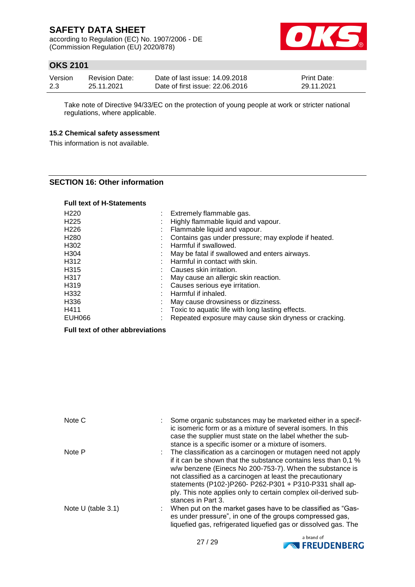according to Regulation (EC) No. 1907/2006 - DE (Commission Regulation (EU) 2020/878)



## **OKS 2101**

| Version | <b>Revision Date:</b> | Date of last issue: 14.09.2018  | <b>Print Date:</b> |
|---------|-----------------------|---------------------------------|--------------------|
| 2.3     | 25.11.2021            | Date of first issue: 22,06,2016 | 29.11.2021         |

Take note of Directive 94/33/EC on the protection of young people at work or stricter national regulations, where applicable.

#### **15.2 Chemical safety assessment**

This information is not available.

#### **SECTION 16: Other information**

#### **Full text of H-Statements**

| H <sub>220</sub> | Extremely flammable gas.                              |
|------------------|-------------------------------------------------------|
| H <sub>225</sub> | Highly flammable liquid and vapour.                   |
| H <sub>226</sub> | Flammable liquid and vapour.                          |
| H <sub>280</sub> | Contains gas under pressure; may explode if heated.   |
| H302             | Harmful if swallowed.                                 |
| H <sub>304</sub> | May be fatal if swallowed and enters airways.         |
| H312             | Harmful in contact with skin.                         |
| H <sub>315</sub> | Causes skin irritation.                               |
| H317             | May cause an allergic skin reaction.                  |
| H <sub>319</sub> | Causes serious eye irritation.                        |
| H332             | Harmful if inhaled.                                   |
| H336             | May cause drowsiness or dizziness.                    |
| H411             | Toxic to aquatic life with long lasting effects.      |
| <b>EUH066</b>    | Repeated exposure may cause skin dryness or cracking. |

#### **Full text of other abbreviations**

| Note C               | Some organic substances may be marketed either in a specif-<br>ic isomeric form or as a mixture of several isomers. In this<br>case the supplier must state on the label whether the sub-<br>stance is a specific isomer or a mixture of isomers.                                                                                                                                                           |
|----------------------|-------------------------------------------------------------------------------------------------------------------------------------------------------------------------------------------------------------------------------------------------------------------------------------------------------------------------------------------------------------------------------------------------------------|
| Note P               | The classification as a carcinogen or mutagen need not apply<br>if it can be shown that the substance contains less than 0,1 %<br>w/w benzene (Einecs No 200-753-7). When the substance is<br>not classified as a carcinogen at least the precautionary<br>statements (P102-)P260- P262-P301 + P310-P331 shall ap-<br>ply. This note applies only to certain complex oil-derived sub-<br>stances in Part 3. |
| Note $U$ (table 3.1) | When put on the market gases have to be classified as "Gas-<br>es under pressure", in one of the groups compressed gas,<br>liquefied gas, refrigerated liquefied gas or dissolved gas. The                                                                                                                                                                                                                  |

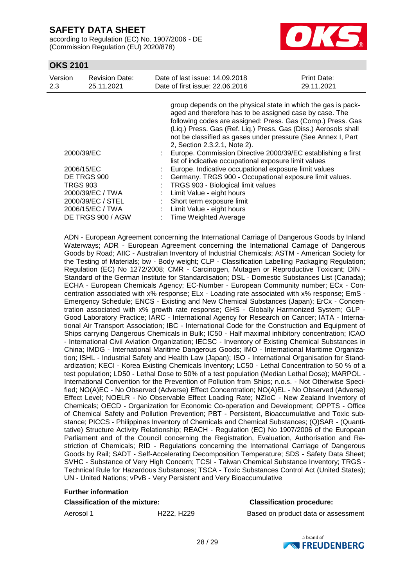according to Regulation (EC) No. 1907/2006 - DE (Commission Regulation (EU) 2020/878)



#### **OKS 2101**

| Version<br>2.3    | <b>Revision Date:</b><br>25.11.2021 |  | Date of last issue: 14.09.2018<br>Date of first issue: 22,06,2016                                                                                                                                                                                                                                                                                          | Print Date:<br>29.11.2021 |  |  |  |
|-------------------|-------------------------------------|--|------------------------------------------------------------------------------------------------------------------------------------------------------------------------------------------------------------------------------------------------------------------------------------------------------------------------------------------------------------|---------------------------|--|--|--|
|                   |                                     |  | group depends on the physical state in which the gas is pack-<br>aged and therefore has to be assigned case by case. The<br>following codes are assigned: Press. Gas (Comp.) Press. Gas<br>(Liq.) Press. Gas (Ref. Liq.) Press. Gas (Diss.) Aerosols shall<br>not be classified as gases under pressure (See Annex I, Part<br>2, Section 2.3.2.1, Note 2). |                           |  |  |  |
| 2000/39/EC        |                                     |  | Europe. Commission Directive 2000/39/EC establishing a first<br>list of indicative occupational exposure limit values                                                                                                                                                                                                                                      |                           |  |  |  |
| 2006/15/EC        |                                     |  | Europe. Indicative occupational exposure limit values                                                                                                                                                                                                                                                                                                      |                           |  |  |  |
| DE TRGS 900       |                                     |  | Germany. TRGS 900 - Occupational exposure limit values.                                                                                                                                                                                                                                                                                                    |                           |  |  |  |
| <b>TRGS 903</b>   |                                     |  | TRGS 903 - Biological limit values                                                                                                                                                                                                                                                                                                                         |                           |  |  |  |
| 2000/39/EC / TWA  |                                     |  | Limit Value - eight hours                                                                                                                                                                                                                                                                                                                                  |                           |  |  |  |
| 2000/39/EC / STEL |                                     |  | Short term exposure limit                                                                                                                                                                                                                                                                                                                                  |                           |  |  |  |
| 2006/15/EC / TWA  |                                     |  | Limit Value - eight hours                                                                                                                                                                                                                                                                                                                                  |                           |  |  |  |
| DE TRGS 900 / AGW |                                     |  | <b>Time Weighted Average</b>                                                                                                                                                                                                                                                                                                                               |                           |  |  |  |

ADN - European Agreement concerning the International Carriage of Dangerous Goods by Inland Waterways; ADR - European Agreement concerning the International Carriage of Dangerous Goods by Road; AIIC - Australian Inventory of Industrial Chemicals; ASTM - American Society for the Testing of Materials; bw - Body weight; CLP - Classification Labelling Packaging Regulation; Regulation (EC) No 1272/2008; CMR - Carcinogen, Mutagen or Reproductive Toxicant; DIN - Standard of the German Institute for Standardisation; DSL - Domestic Substances List (Canada); ECHA - European Chemicals Agency; EC-Number - European Community number; ECx - Concentration associated with x% response; ELx - Loading rate associated with x% response; EmS - Emergency Schedule; ENCS - Existing and New Chemical Substances (Japan); ErCx - Concentration associated with x% growth rate response; GHS - Globally Harmonized System; GLP - Good Laboratory Practice; IARC - International Agency for Research on Cancer; IATA - International Air Transport Association; IBC - International Code for the Construction and Equipment of Ships carrying Dangerous Chemicals in Bulk; IC50 - Half maximal inhibitory concentration; ICAO - International Civil Aviation Organization; IECSC - Inventory of Existing Chemical Substances in China; IMDG - International Maritime Dangerous Goods; IMO - International Maritime Organization; ISHL - Industrial Safety and Health Law (Japan); ISO - International Organisation for Standardization; KECI - Korea Existing Chemicals Inventory; LC50 - Lethal Concentration to 50 % of a test population; LD50 - Lethal Dose to 50% of a test population (Median Lethal Dose); MARPOL - International Convention for the Prevention of Pollution from Ships; n.o.s. - Not Otherwise Specified; NO(A)EC - No Observed (Adverse) Effect Concentration; NO(A)EL - No Observed (Adverse) Effect Level; NOELR - No Observable Effect Loading Rate; NZIoC - New Zealand Inventory of Chemicals; OECD - Organization for Economic Co-operation and Development; OPPTS - Office of Chemical Safety and Pollution Prevention; PBT - Persistent, Bioaccumulative and Toxic substance; PICCS - Philippines Inventory of Chemicals and Chemical Substances; (Q)SAR - (Quantitative) Structure Activity Relationship; REACH - Regulation (EC) No 1907/2006 of the European Parliament and of the Council concerning the Registration, Evaluation, Authorisation and Restriction of Chemicals; RID - Regulations concerning the International Carriage of Dangerous Goods by Rail; SADT - Self-Accelerating Decomposition Temperature; SDS - Safety Data Sheet; SVHC - Substance of Very High Concern; TCSI - Taiwan Chemical Substance Inventory; TRGS - Technical Rule for Hazardous Substances; TSCA - Toxic Substances Control Act (United States); UN - United Nations; vPvB - Very Persistent and Very Bioaccumulative

#### **Further information**

#### **Classification of the mixture: Classification procedure:**

Aerosol 1 **H222, H229** Based on product data or assessment